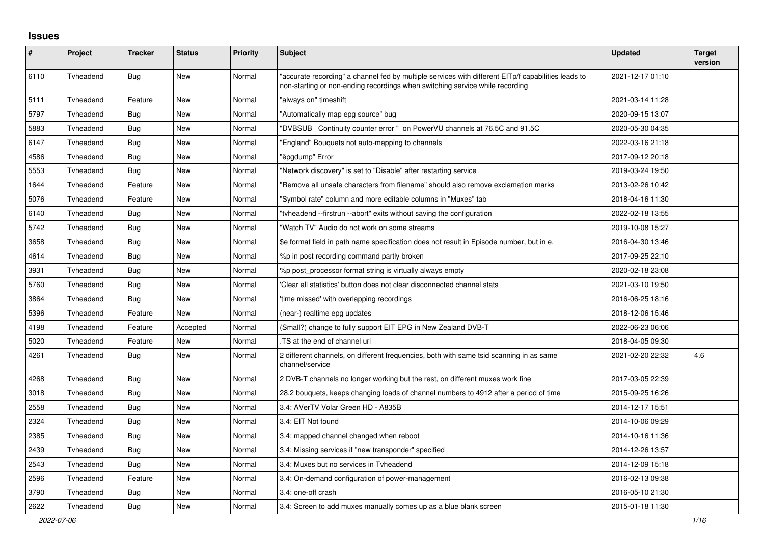## **Issues**

| $\pmb{\#}$ | Project   | <b>Tracker</b> | <b>Status</b> | <b>Priority</b> | <b>Subject</b>                                                                                                                                                                      | <b>Updated</b>   | <b>Target</b><br>version |
|------------|-----------|----------------|---------------|-----------------|-------------------------------------------------------------------------------------------------------------------------------------------------------------------------------------|------------------|--------------------------|
| 6110       | Tyheadend | <b>Bug</b>     | <b>New</b>    | Normal          | 'accurate recording" a channel fed by multiple services with different EITp/f capabilities leads to<br>non-starting or non-ending recordings when switching service while recording | 2021-12-17 01:10 |                          |
| 5111       | Tyheadend | Feature        | <b>New</b>    | Normal          | "always on" timeshift                                                                                                                                                               | 2021-03-14 11:28 |                          |
| 5797       | Tyheadend | <b>Bug</b>     | New           | Normal          | "Automatically map epg source" bug                                                                                                                                                  | 2020-09-15 13:07 |                          |
| 5883       | Tyheadend | Bug            | New           | Normal          | "DVBSUB Continuity counter error " on PowerVU channels at 76.5C and 91.5C                                                                                                           | 2020-05-30 04:35 |                          |
| 6147       | Tyheadend | Bug            | New           | Normal          | 'England" Bouquets not auto-mapping to channels                                                                                                                                     | 2022-03-16 21:18 |                          |
| 4586       | Tvheadend | Bug            | New           | Normal          | "ëpgdump" Error                                                                                                                                                                     | 2017-09-12 20:18 |                          |
| 5553       | Tvheadend | Bug            | New           | Normal          | "Network discovery" is set to "Disable" after restarting service                                                                                                                    | 2019-03-24 19:50 |                          |
| 1644       | Tvheadend | Feature        | New           | Normal          | 'Remove all unsafe characters from filename" should also remove exclamation marks                                                                                                   | 2013-02-26 10:42 |                          |
| 5076       | Tvheadend | Feature        | <b>New</b>    | Normal          | 'Symbol rate" column and more editable columns in "Muxes" tab                                                                                                                       | 2018-04-16 11:30 |                          |
| 6140       | Tyheadend | <b>Bug</b>     | <b>New</b>    | Normal          | "tyheadend --firstrun --abort" exits without saving the configuration                                                                                                               | 2022-02-18 13:55 |                          |
| 5742       | Tyheadend | Bug            | New           | Normal          | "Watch TV" Audio do not work on some streams                                                                                                                                        | 2019-10-08 15:27 |                          |
| 3658       | Tyheadend | Bug            | <b>New</b>    | Normal          | \$e format field in path name specification does not result in Episode number, but in e.                                                                                            | 2016-04-30 13:46 |                          |
| 4614       | Tvheadend | <b>Bug</b>     | New           | Normal          | %p in post recording command partly broken                                                                                                                                          | 2017-09-25 22:10 |                          |
| 3931       | Tyheadend | Bug            | <b>New</b>    | Normal          | %p post processor format string is virtually always empty                                                                                                                           | 2020-02-18 23:08 |                          |
| 5760       | Tyheadend | <b>Bug</b>     | New           | Normal          | Clear all statistics' button does not clear disconnected channel stats                                                                                                              | 2021-03-10 19:50 |                          |
| 3864       | Tvheadend | Bug            | <b>New</b>    | Normal          | 'time missed' with overlapping recordings                                                                                                                                           | 2016-06-25 18:16 |                          |
| 5396       | Tyheadend | Feature        | <b>New</b>    | Normal          | (near-) realtime epg updates                                                                                                                                                        | 2018-12-06 15:46 |                          |
| 4198       | Tvheadend | Feature        | Accepted      | Normal          | (Small?) change to fully support EIT EPG in New Zealand DVB-T                                                                                                                       | 2022-06-23 06:06 |                          |
| 5020       | Tvheadend | Feature        | New           | Normal          | TS at the end of channel url                                                                                                                                                        | 2018-04-05 09:30 |                          |
| 4261       | Tyheadend | Bug            | <b>New</b>    | Normal          | 2 different channels, on different frequencies, both with same tsid scanning in as same<br>channel/service                                                                          | 2021-02-20 22:32 | 4.6                      |
| 4268       | Tvheadend | Bug            | New           | Normal          | 2 DVB-T channels no longer working but the rest, on different muxes work fine                                                                                                       | 2017-03-05 22:39 |                          |
| 3018       | Tvheadend | Bug            | New           | Normal          | 28.2 bouquets, keeps changing loads of channel numbers to 4912 after a period of time                                                                                               | 2015-09-25 16:26 |                          |
| 2558       | Tyheadend | Bug            | <b>New</b>    | Normal          | 3.4: AVerTV Volar Green HD - A835B                                                                                                                                                  | 2014-12-17 15:51 |                          |
| 2324       | Tvheadend | Bug            | <b>New</b>    | Normal          | 3.4: EIT Not found                                                                                                                                                                  | 2014-10-06 09:29 |                          |
| 2385       | Tvheadend | <b>Bug</b>     | <b>New</b>    | Normal          | 3.4: mapped channel changed when reboot                                                                                                                                             | 2014-10-16 11:36 |                          |
| 2439       | Tyheadend | <b>Bug</b>     | <b>New</b>    | Normal          | 3.4: Missing services if "new transponder" specified                                                                                                                                | 2014-12-26 13:57 |                          |
| 2543       | Tvheadend | <b>Bug</b>     | New           | Normal          | 3.4: Muxes but no services in Tvheadend                                                                                                                                             | 2014-12-09 15:18 |                          |
| 2596       | Tyheadend | Feature        | New           | Normal          | 3.4: On-demand configuration of power-management                                                                                                                                    | 2016-02-13 09:38 |                          |
| 3790       | Tvheadend | Bug            | New           | Normal          | 3.4: one-off crash                                                                                                                                                                  | 2016-05-10 21:30 |                          |
| 2622       | Tyheadend | Bug            | <b>New</b>    | Normal          | 3.4: Screen to add muxes manually comes up as a blue blank screen                                                                                                                   | 2015-01-18 11:30 |                          |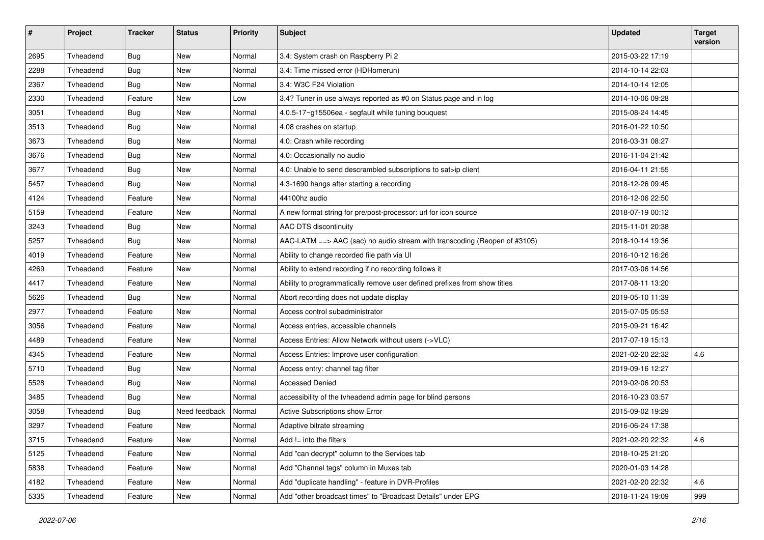| $\pmb{\#}$ | Project   | <b>Tracker</b> | <b>Status</b> | <b>Priority</b> | <b>Subject</b>                                                            | <b>Updated</b>   | <b>Target</b><br>version |
|------------|-----------|----------------|---------------|-----------------|---------------------------------------------------------------------------|------------------|--------------------------|
| 2695       | Tvheadend | Bug            | <b>New</b>    | Normal          | 3.4: System crash on Raspberry Pi 2                                       | 2015-03-22 17:19 |                          |
| 2288       | Tvheadend | <b>Bug</b>     | New           | Normal          | 3.4: Time missed error (HDHomerun)                                        | 2014-10-14 22:03 |                          |
| 2367       | Tvheadend | <b>Bug</b>     | New           | Normal          | 3.4: W3C F24 Violation                                                    | 2014-10-14 12:05 |                          |
| 2330       | Tvheadend | Feature        | New           | Low             | 3.4? Tuner in use always reported as #0 on Status page and in log         | 2014-10-06 09:28 |                          |
| 3051       | Tvheadend | <b>Bug</b>     | <b>New</b>    | Normal          | 4.0.5-17~g15506ea - segfault while tuning bouquest                        | 2015-08-24 14:45 |                          |
| 3513       | Tvheadend | Bug            | <b>New</b>    | Normal          | 4.08 crashes on startup                                                   | 2016-01-22 10:50 |                          |
| 3673       | Tvheadend | <b>Bug</b>     | New           | Normal          | 4.0: Crash while recording                                                | 2016-03-31 08:27 |                          |
| 3676       | Tvheadend | Bug            | <b>New</b>    | Normal          | 4.0: Occasionally no audio                                                | 2016-11-04 21:42 |                          |
| 3677       | Tvheadend | <b>Bug</b>     | <b>New</b>    | Normal          | 4.0: Unable to send descrambled subscriptions to sat>ip client            | 2016-04-11 21:55 |                          |
| 5457       | Tvheadend | <b>Bug</b>     | New           | Normal          | 4.3-1690 hangs after starting a recording                                 | 2018-12-26 09:45 |                          |
| 4124       | Tvheadend | Feature        | New           | Normal          | 44100hz audio                                                             | 2016-12-06 22:50 |                          |
| 5159       | Tvheadend | Feature        | New           | Normal          | A new format string for pre/post-processor: url for icon source           | 2018-07-19 00:12 |                          |
| 3243       | Tvheadend | Bug            | New           | Normal          | AAC DTS discontinuity                                                     | 2015-11-01 20:38 |                          |
| 5257       | Tvheadend | Bug            | <b>New</b>    | Normal          | AAC-LATM ==> AAC (sac) no audio stream with transcoding (Reopen of #3105) | 2018-10-14 19:36 |                          |
| 4019       | Tvheadend | Feature        | New           | Normal          | Ability to change recorded file path via UI                               | 2016-10-12 16:26 |                          |
| 4269       | Tyheadend | Feature        | New           | Normal          | Ability to extend recording if no recording follows it                    | 2017-03-06 14:56 |                          |
| 4417       | Tvheadend | Feature        | New           | Normal          | Ability to programmatically remove user defined prefixes from show titles | 2017-08-11 13:20 |                          |
| 5626       | Tvheadend | Bug            | New           | Normal          | Abort recording does not update display                                   | 2019-05-10 11:39 |                          |
| 2977       | Tvheadend | Feature        | <b>New</b>    | Normal          | Access control subadministrator                                           | 2015-07-05 05:53 |                          |
| 3056       | Tvheadend | Feature        | New           | Normal          | Access entries, accessible channels                                       | 2015-09-21 16:42 |                          |
| 4489       | Tvheadend | Feature        | New           | Normal          | Access Entries: Allow Network without users (->VLC)                       | 2017-07-19 15:13 |                          |
| 4345       | Tvheadend | Feature        | New           | Normal          | Access Entries: Improve user configuration                                | 2021-02-20 22:32 | 4.6                      |
| 5710       | Tvheadend | Bug            | New           | Normal          | Access entry: channel tag filter                                          | 2019-09-16 12:27 |                          |
| 5528       | Tvheadend | <b>Bug</b>     | New           | Normal          | <b>Accessed Denied</b>                                                    | 2019-02-06 20:53 |                          |
| 3485       | Tvheadend | Bug            | New           | Normal          | accessibility of the tvheadend admin page for blind persons               | 2016-10-23 03:57 |                          |
| 3058       | Tvheadend | Bug            | Need feedback | Normal          | Active Subscriptions show Error                                           | 2015-09-02 19:29 |                          |
| 3297       | Tvheadend | Feature        | New           | Normal          | Adaptive bitrate streaming                                                | 2016-06-24 17:38 |                          |
| 3715       | Tvheadend | Feature        | New           | Normal          | Add $!=$ into the filters                                                 | 2021-02-20 22:32 | 4.6                      |
| 5125       | Tvheadend | Feature        | New           | Normal          | Add "can decrypt" column to the Services tab                              | 2018-10-25 21:20 |                          |
| 5838       | Tvheadend | Feature        | New           | Normal          | Add "Channel tags" column in Muxes tab                                    | 2020-01-03 14:28 |                          |
| 4182       | Tvheadend | Feature        | New           | Normal          | Add "duplicate handling" - feature in DVR-Profiles                        | 2021-02-20 22:32 | 4.6                      |
| 5335       | Tvheadend | Feature        | New           | Normal          | Add "other broadcast times" to "Broadcast Details" under EPG              | 2018-11-24 19:09 | 999                      |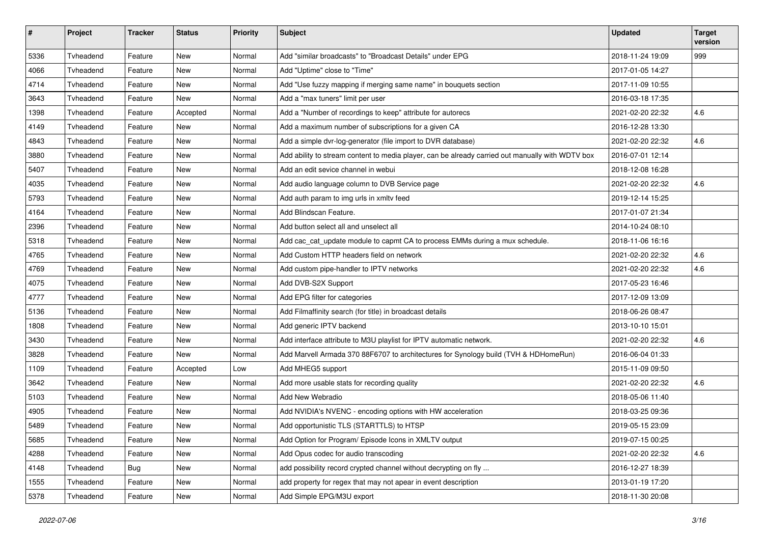| $\pmb{\#}$ | Project   | <b>Tracker</b> | <b>Status</b> | <b>Priority</b> | Subject                                                                                          | <b>Updated</b>   | <b>Target</b><br>version |
|------------|-----------|----------------|---------------|-----------------|--------------------------------------------------------------------------------------------------|------------------|--------------------------|
| 5336       | Tvheadend | Feature        | New           | Normal          | Add "similar broadcasts" to "Broadcast Details" under EPG                                        | 2018-11-24 19:09 | 999                      |
| 4066       | Tvheadend | Feature        | New           | Normal          | Add "Uptime" close to "Time"                                                                     | 2017-01-05 14:27 |                          |
| 4714       | Tvheadend | Feature        | <b>New</b>    | Normal          | Add "Use fuzzy mapping if merging same name" in bouquets section                                 | 2017-11-09 10:55 |                          |
| 3643       | Tvheadend | Feature        | New           | Normal          | Add a "max tuners" limit per user                                                                | 2016-03-18 17:35 |                          |
| 1398       | Tvheadend | Feature        | Accepted      | Normal          | Add a "Number of recordings to keep" attribute for autorecs                                      | 2021-02-20 22:32 | 4.6                      |
| 4149       | Tvheadend | Feature        | <b>New</b>    | Normal          | Add a maximum number of subscriptions for a given CA                                             | 2016-12-28 13:30 |                          |
| 4843       | Tvheadend | Feature        | <b>New</b>    | Normal          | Add a simple dvr-log-generator (file import to DVR database)                                     | 2021-02-20 22:32 | 4.6                      |
| 3880       | Tvheadend | Feature        | New           | Normal          | Add ability to stream content to media player, can be already carried out manually with WDTV box | 2016-07-01 12:14 |                          |
| 5407       | Tvheadend | Feature        | <b>New</b>    | Normal          | Add an edit sevice channel in webui                                                              | 2018-12-08 16:28 |                          |
| 4035       | Tvheadend | Feature        | New           | Normal          | Add audio language column to DVB Service page                                                    | 2021-02-20 22:32 | 4.6                      |
| 5793       | Tvheadend | Feature        | <b>New</b>    | Normal          | Add auth param to img urls in xmltv feed                                                         | 2019-12-14 15:25 |                          |
| 4164       | Tvheadend | Feature        | New           | Normal          | Add Blindscan Feature.                                                                           | 2017-01-07 21:34 |                          |
| 2396       | Tvheadend | Feature        | <b>New</b>    | Normal          | Add button select all and unselect all                                                           | 2014-10-24 08:10 |                          |
| 5318       | Tvheadend | Feature        | New           | Normal          | Add cac_cat_update module to capmt CA to process EMMs during a mux schedule.                     | 2018-11-06 16:16 |                          |
| 4765       | Tvheadend | Feature        | New           | Normal          | Add Custom HTTP headers field on network                                                         | 2021-02-20 22:32 | 4.6                      |
| 4769       | Tvheadend | Feature        | <b>New</b>    | Normal          | Add custom pipe-handler to IPTV networks                                                         | 2021-02-20 22:32 | 4.6                      |
| 4075       | Tvheadend | Feature        | New           | Normal          | Add DVB-S2X Support                                                                              | 2017-05-23 16:46 |                          |
| 4777       | Tvheadend | Feature        | <b>New</b>    | Normal          | Add EPG filter for categories                                                                    | 2017-12-09 13:09 |                          |
| 5136       | Tvheadend | Feature        | New           | Normal          | Add Filmaffinity search (for title) in broadcast details                                         | 2018-06-26 08:47 |                          |
| 1808       | Tvheadend | Feature        | <b>New</b>    | Normal          | Add generic IPTV backend                                                                         | 2013-10-10 15:01 |                          |
| 3430       | Tvheadend | Feature        | New           | Normal          | Add interface attribute to M3U playlist for IPTV automatic network.                              | 2021-02-20 22:32 | 4.6                      |
| 3828       | Tvheadend | Feature        | New           | Normal          | Add Marvell Armada 370 88F6707 to architectures for Synology build (TVH & HDHomeRun)             | 2016-06-04 01:33 |                          |
| 1109       | Tvheadend | Feature        | Accepted      | Low             | Add MHEG5 support                                                                                | 2015-11-09 09:50 |                          |
| 3642       | Tvheadend | Feature        | <b>New</b>    | Normal          | Add more usable stats for recording quality                                                      | 2021-02-20 22:32 | 4.6                      |
| 5103       | Tvheadend | Feature        | New           | Normal          | Add New Webradio                                                                                 | 2018-05-06 11:40 |                          |
| 4905       | Tvheadend | Feature        | New           | Normal          | Add NVIDIA's NVENC - encoding options with HW acceleration                                       | 2018-03-25 09:36 |                          |
| 5489       | Tvheadend | Feature        | <b>New</b>    | Normal          | Add opportunistic TLS (STARTTLS) to HTSP                                                         | 2019-05-15 23:09 |                          |
| 5685       | Tvheadend | Feature        | New           | Normal          | Add Option for Program/ Episode Icons in XMLTV output                                            | 2019-07-15 00:25 |                          |
| 4288       | Tvheadend | Feature        | New           | Normal          | Add Opus codec for audio transcoding                                                             | 2021-02-20 22:32 | 4.6                      |
| 4148       | Tvheadend | <b>Bug</b>     | New           | Normal          | add possibility record crypted channel without decrypting on fly                                 | 2016-12-27 18:39 |                          |
| 1555       | Tvheadend | Feature        | New           | Normal          | add property for regex that may not apear in event description                                   | 2013-01-19 17:20 |                          |
| 5378       | Tvheadend | Feature        | New           | Normal          | Add Simple EPG/M3U export                                                                        | 2018-11-30 20:08 |                          |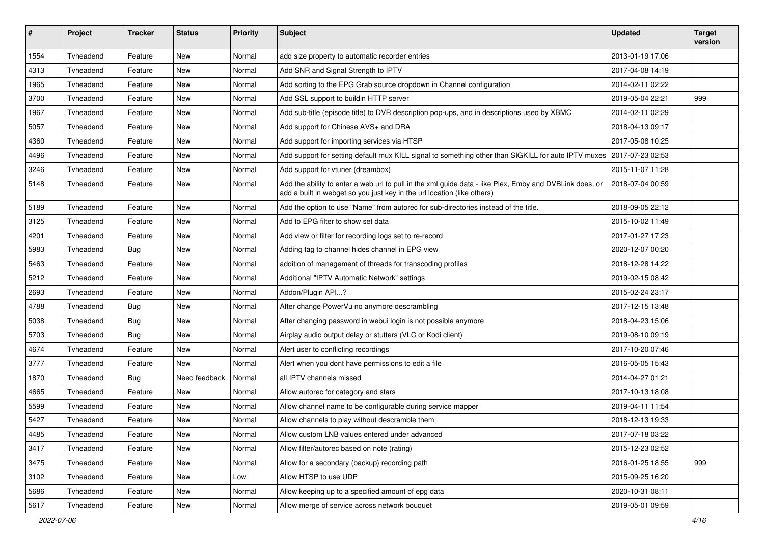| $\pmb{\#}$ | Project   | <b>Tracker</b> | <b>Status</b> | <b>Priority</b> | <b>Subject</b>                                                                                                                                                                     | <b>Updated</b>   | <b>Target</b><br>version |
|------------|-----------|----------------|---------------|-----------------|------------------------------------------------------------------------------------------------------------------------------------------------------------------------------------|------------------|--------------------------|
| 1554       | Tvheadend | Feature        | New           | Normal          | add size property to automatic recorder entries                                                                                                                                    | 2013-01-19 17:06 |                          |
| 4313       | Tvheadend | Feature        | New           | Normal          | Add SNR and Signal Strength to IPTV                                                                                                                                                | 2017-04-08 14:19 |                          |
| 1965       | Tvheadend | Feature        | New           | Normal          | Add sorting to the EPG Grab source dropdown in Channel configuration                                                                                                               | 2014-02-11 02:22 |                          |
| 3700       | Tvheadend | Feature        | New           | Normal          | Add SSL support to buildin HTTP server                                                                                                                                             | 2019-05-04 22:21 | 999                      |
| 1967       | Tvheadend | Feature        | <b>New</b>    | Normal          | Add sub-title (episode title) to DVR description pop-ups, and in descriptions used by XBMC                                                                                         | 2014-02-11 02:29 |                          |
| 5057       | Tvheadend | Feature        | <b>New</b>    | Normal          | Add support for Chinese AVS+ and DRA                                                                                                                                               | 2018-04-13 09:17 |                          |
| 4360       | Tvheadend | Feature        | New           | Normal          | Add support for importing services via HTSP                                                                                                                                        | 2017-05-08 10:25 |                          |
| 4496       | Tvheadend | Feature        | New           | Normal          | Add support for setting default mux KILL signal to something other than SIGKILL for auto IPTV muxes                                                                                | 2017-07-23 02:53 |                          |
| 3246       | Tyheadend | Feature        | New           | Normal          | Add support for vtuner (dreambox)                                                                                                                                                  | 2015-11-07 11:28 |                          |
| 5148       | Tvheadend | Feature        | New           | Normal          | Add the ability to enter a web url to pull in the xml guide data - like Plex, Emby and DVBLink does, or<br>add a built in webget so you just key in the url location (like others) | 2018-07-04 00:59 |                          |
| 5189       | Tvheadend | Feature        | New           | Normal          | Add the option to use "Name" from autorec for sub-directories instead of the title.                                                                                                | 2018-09-05 22:12 |                          |
| 3125       | Tvheadend | Feature        | New           | Normal          | Add to EPG filter to show set data                                                                                                                                                 | 2015-10-02 11:49 |                          |
| 4201       | Tvheadend | Feature        | <b>New</b>    | Normal          | Add view or filter for recording logs set to re-record                                                                                                                             | 2017-01-27 17:23 |                          |
| 5983       | Tvheadend | <b>Bug</b>     | New           | Normal          | Adding tag to channel hides channel in EPG view                                                                                                                                    | 2020-12-07 00:20 |                          |
| 5463       | Tvheadend | Feature        | <b>New</b>    | Normal          | addition of management of threads for transcoding profiles                                                                                                                         | 2018-12-28 14:22 |                          |
| 5212       | Tvheadend | Feature        | New           | Normal          | Additional "IPTV Automatic Network" settings                                                                                                                                       | 2019-02-15 08:42 |                          |
| 2693       | Tvheadend | Feature        | <b>New</b>    | Normal          | Addon/Plugin API?                                                                                                                                                                  | 2015-02-24 23:17 |                          |
| 4788       | Tvheadend | Bug            | <b>New</b>    | Normal          | After change PowerVu no anymore descrambling                                                                                                                                       | 2017-12-15 13:48 |                          |
| 5038       | Tyheadend | Bug            | New           | Normal          | After changing password in webui login is not possible anymore                                                                                                                     | 2018-04-23 15:06 |                          |
| 5703       | Tvheadend | <b>Bug</b>     | New           | Normal          | Airplay audio output delay or stutters (VLC or Kodi client)                                                                                                                        | 2019-08-10 09:19 |                          |
| 4674       | Tvheadend | Feature        | <b>New</b>    | Normal          | Alert user to conflicting recordings                                                                                                                                               | 2017-10-20 07:46 |                          |
| 3777       | Tvheadend | Feature        | New           | Normal          | Alert when you dont have permissions to edit a file                                                                                                                                | 2016-05-05 15:43 |                          |
| 1870       | Tyheadend | <b>Bug</b>     | Need feedback | Normal          | all IPTV channels missed                                                                                                                                                           | 2014-04-27 01:21 |                          |
| 4665       | Tvheadend | Feature        | New           | Normal          | Allow autorec for category and stars                                                                                                                                               | 2017-10-13 18:08 |                          |
| 5599       | Tvheadend | Feature        | New           | Normal          | Allow channel name to be configurable during service mapper                                                                                                                        | 2019-04-11 11:54 |                          |
| 5427       | Tvheadend | Feature        | <b>New</b>    | Normal          | Allow channels to play without descramble them                                                                                                                                     | 2018-12-13 19:33 |                          |
| 4485       | Tvheadend | Feature        | New           | Normal          | Allow custom LNB values entered under advanced                                                                                                                                     | 2017-07-18 03:22 |                          |
| 3417       | Tvheadend | Feature        | New           | Normal          | Allow filter/autorec based on note (rating)                                                                                                                                        | 2015-12-23 02:52 |                          |
| 3475       | Tvheadend | Feature        | New           | Normal          | Allow for a secondary (backup) recording path                                                                                                                                      | 2016-01-25 18:55 | 999                      |
| 3102       | Tvheadend | Feature        | New           | Low             | Allow HTSP to use UDP                                                                                                                                                              | 2015-09-25 16:20 |                          |
| 5686       | Tvheadend | Feature        | New           | Normal          | Allow keeping up to a specified amount of epg data                                                                                                                                 | 2020-10-31 08:11 |                          |
| 5617       | Tvheadend | Feature        | New           | Normal          | Allow merge of service across network bouquet                                                                                                                                      | 2019-05-01 09:59 |                          |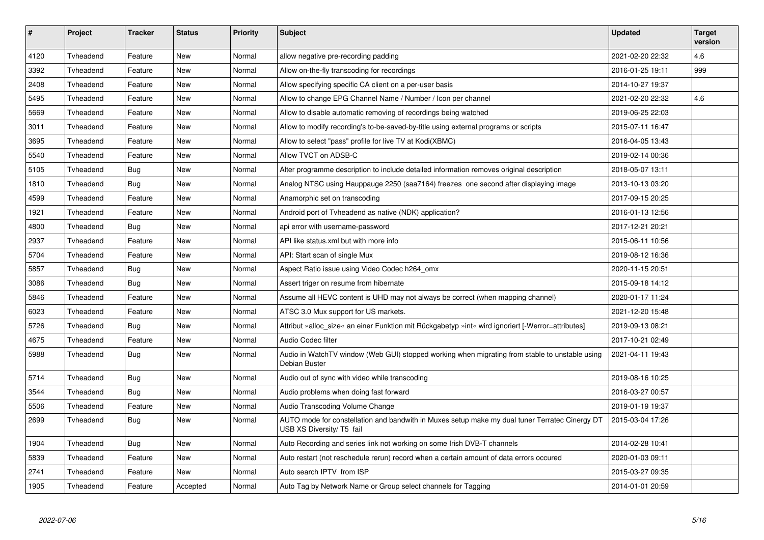| $\vert$ # | Project   | <b>Tracker</b> | <b>Status</b> | <b>Priority</b> | <b>Subject</b>                                                                                                              | Updated          | <b>Target</b><br>version |
|-----------|-----------|----------------|---------------|-----------------|-----------------------------------------------------------------------------------------------------------------------------|------------------|--------------------------|
| 4120      | Tvheadend | Feature        | <b>New</b>    | Normal          | allow negative pre-recording padding                                                                                        | 2021-02-20 22:32 | 4.6                      |
| 3392      | Tyheadend | Feature        | New           | Normal          | Allow on-the-fly transcoding for recordings                                                                                 | 2016-01-25 19:11 | 999                      |
| 2408      | Tvheadend | Feature        | <b>New</b>    | Normal          | Allow specifying specific CA client on a per-user basis                                                                     | 2014-10-27 19:37 |                          |
| 5495      | Tvheadend | Feature        | New           | Normal          | Allow to change EPG Channel Name / Number / Icon per channel                                                                | 2021-02-20 22:32 | 4.6                      |
| 5669      | Tvheadend | Feature        | New           | Normal          | Allow to disable automatic removing of recordings being watched                                                             | 2019-06-25 22:03 |                          |
| 3011      | Tvheadend | Feature        | New           | Normal          | Allow to modify recording's to-be-saved-by-title using external programs or scripts                                         | 2015-07-11 16:47 |                          |
| 3695      | Tvheadend | Feature        | New           | Normal          | Allow to select "pass" profile for live TV at Kodi(XBMC)                                                                    | 2016-04-05 13:43 |                          |
| 5540      | Tvheadend | Feature        | New           | Normal          | Allow TVCT on ADSB-C                                                                                                        | 2019-02-14 00:36 |                          |
| 5105      | Tvheadend | Bug            | New           | Normal          | Alter programme description to include detailed information removes original description                                    | 2018-05-07 13:11 |                          |
| 1810      | Tvheadend | <b>Bug</b>     | New           | Normal          | Analog NTSC using Hauppauge 2250 (saa7164) freezes one second after displaying image                                        | 2013-10-13 03:20 |                          |
| 4599      | Tvheadend | Feature        | <b>New</b>    | Normal          | Anamorphic set on transcoding                                                                                               | 2017-09-15 20:25 |                          |
| 1921      | Tvheadend | Feature        | <b>New</b>    | Normal          | Android port of Tvheadend as native (NDK) application?                                                                      | 2016-01-13 12:56 |                          |
| 4800      | Tvheadend | Bug            | New           | Normal          | api error with username-password                                                                                            | 2017-12-21 20:21 |                          |
| 2937      | Tvheadend | Feature        | <b>New</b>    | Normal          | API like status.xml but with more info                                                                                      | 2015-06-11 10:56 |                          |
| 5704      | Tyheadend | Feature        | New           | Normal          | API: Start scan of single Mux                                                                                               | 2019-08-12 16:36 |                          |
| 5857      | Tvheadend | <b>Bug</b>     | <b>New</b>    | Normal          | Aspect Ratio issue using Video Codec h264_omx                                                                               | 2020-11-15 20:51 |                          |
| 3086      | Tyheadend | <b>Bug</b>     | New           | Normal          | Assert triger on resume from hibernate                                                                                      | 2015-09-18 14:12 |                          |
| 5846      | Tvheadend | Feature        | <b>New</b>    | Normal          | Assume all HEVC content is UHD may not always be correct (when mapping channel)                                             | 2020-01-17 11:24 |                          |
| 6023      | Tyheadend | Feature        | New           | Normal          | ATSC 3.0 Mux support for US markets.                                                                                        | 2021-12-20 15:48 |                          |
| 5726      | Tvheadend | Bug            | New           | Normal          | Attribut »alloc size« an einer Funktion mit Rückgabetyp »int« wird ignoriert [-Werror=attributes]                           | 2019-09-13 08:21 |                          |
| 4675      | Tvheadend | Feature        | New           | Normal          | Audio Codec filter                                                                                                          | 2017-10-21 02:49 |                          |
| 5988      | Tvheadend | Bug            | New           | Normal          | Audio in WatchTV window (Web GUI) stopped working when migrating from stable to unstable using<br>Debian Buster             | 2021-04-11 19:43 |                          |
| 5714      | Tvheadend | Bug            | New           | Normal          | Audio out of sync with video while transcoding                                                                              | 2019-08-16 10:25 |                          |
| 3544      | Tvheadend | <b>Bug</b>     | New           | Normal          | Audio problems when doing fast forward                                                                                      | 2016-03-27 00:57 |                          |
| 5506      | Tvheadend | Feature        | New           | Normal          | Audio Transcoding Volume Change                                                                                             | 2019-01-19 19:37 |                          |
| 2699      | Tvheadend | <b>Bug</b>     | New           | Normal          | AUTO mode for constellation and bandwith in Muxes setup make my dual tuner Terratec Cinergy DT<br>USB XS Diversity/ T5 fail | 2015-03-04 17:26 |                          |
| 1904      | Tvheadend | <b>Bug</b>     | New           | Normal          | Auto Recording and series link not working on some Irish DVB-T channels                                                     | 2014-02-28 10:41 |                          |
| 5839      | Tvheadend | Feature        | <b>New</b>    | Normal          | Auto restart (not reschedule rerun) record when a certain amount of data errors occured                                     | 2020-01-03 09:11 |                          |
| 2741      | Tvheadend | Feature        | New           | Normal          | Auto search IPTV from ISP                                                                                                   | 2015-03-27 09:35 |                          |
| 1905      | Tvheadend | Feature        | Accepted      | Normal          | Auto Tag by Network Name or Group select channels for Tagging                                                               | 2014-01-01 20:59 |                          |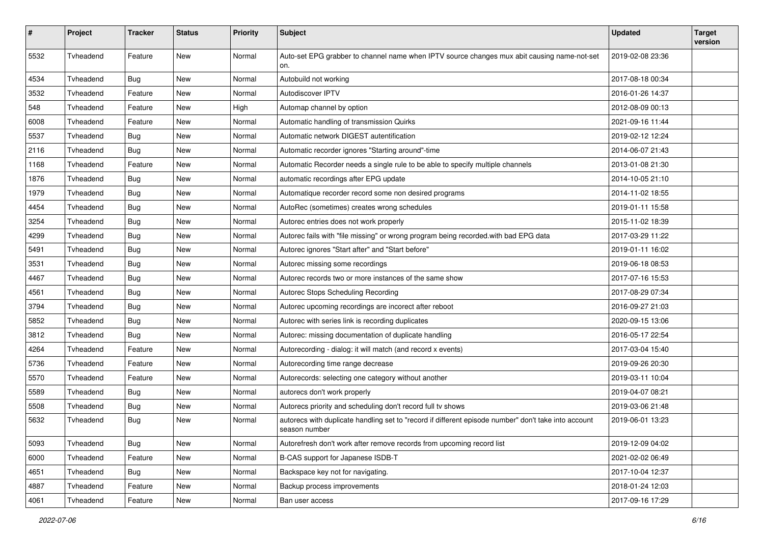| $\pmb{\#}$ | Project   | <b>Tracker</b> | <b>Status</b> | <b>Priority</b> | <b>Subject</b>                                                                                                        | <b>Updated</b>   | <b>Target</b><br>version |
|------------|-----------|----------------|---------------|-----------------|-----------------------------------------------------------------------------------------------------------------------|------------------|--------------------------|
| 5532       | Tvheadend | Feature        | <b>New</b>    | Normal          | Auto-set EPG grabber to channel name when IPTV source changes mux abit causing name-not-set<br>on.                    | 2019-02-08 23:36 |                          |
| 4534       | Tvheadend | Bug            | New           | Normal          | Autobuild not working                                                                                                 | 2017-08-18 00:34 |                          |
| 3532       | Tvheadend | Feature        | New           | Normal          | Autodiscover IPTV                                                                                                     | 2016-01-26 14:37 |                          |
| 548        | Tvheadend | Feature        | <b>New</b>    | High            | Automap channel by option                                                                                             | 2012-08-09 00:13 |                          |
| 6008       | Tvheadend | Feature        | New           | Normal          | Automatic handling of transmission Quirks                                                                             | 2021-09-16 11:44 |                          |
| 5537       | Tvheadend | Bug            | New           | Normal          | Automatic network DIGEST autentification                                                                              | 2019-02-12 12:24 |                          |
| 2116       | Tvheadend | Bug            | <b>New</b>    | Normal          | Automatic recorder ignores "Starting around"-time                                                                     | 2014-06-07 21:43 |                          |
| 1168       | Tvheadend | Feature        | New           | Normal          | Automatic Recorder needs a single rule to be able to specify multiple channels                                        | 2013-01-08 21:30 |                          |
| 1876       | Tvheadend | Bug            | New           | Normal          | automatic recordings after EPG update                                                                                 | 2014-10-05 21:10 |                          |
| 1979       | Tvheadend | Bug            | New           | Normal          | Automatique recorder record some non desired programs                                                                 | 2014-11-02 18:55 |                          |
| 4454       | Tvheadend | Bug            | New           | Normal          | AutoRec (sometimes) creates wrong schedules                                                                           | 2019-01-11 15:58 |                          |
| 3254       | Tvheadend | Bug            | <b>New</b>    | Normal          | Autorec entries does not work properly                                                                                | 2015-11-02 18:39 |                          |
| 4299       | Tvheadend | Bug            | <b>New</b>    | Normal          | Autorec fails with "file missing" or wrong program being recorded.with bad EPG data                                   | 2017-03-29 11:22 |                          |
| 5491       | Tvheadend | <b>Bug</b>     | New           | Normal          | Autorec ignores "Start after" and "Start before"                                                                      | 2019-01-11 16:02 |                          |
| 3531       | Tvheadend | <b>Bug</b>     | New           | Normal          | Autorec missing some recordings                                                                                       | 2019-06-18 08:53 |                          |
| 4467       | Tvheadend | Bug            | New           | Normal          | Autorec records two or more instances of the same show                                                                | 2017-07-16 15:53 |                          |
| 4561       | Tvheadend | <b>Bug</b>     | New           | Normal          | Autorec Stops Scheduling Recording                                                                                    | 2017-08-29 07:34 |                          |
| 3794       | Tvheadend | Bug            | <b>New</b>    | Normal          | Autorec upcoming recordings are incorect after reboot                                                                 | 2016-09-27 21:03 |                          |
| 5852       | Tvheadend | <b>Bug</b>     | New           | Normal          | Autorec with series link is recording duplicates                                                                      | 2020-09-15 13:06 |                          |
| 3812       | Tvheadend | Bug            | <b>New</b>    | Normal          | Autorec: missing documentation of duplicate handling                                                                  | 2016-05-17 22:54 |                          |
| 4264       | Tvheadend | Feature        | New           | Normal          | Autorecording - dialog: it will match (and record x events)                                                           | 2017-03-04 15:40 |                          |
| 5736       | Tvheadend | Feature        | New           | Normal          | Autorecording time range decrease                                                                                     | 2019-09-26 20:30 |                          |
| 5570       | Tvheadend | Feature        | New           | Normal          | Autorecords: selecting one category without another                                                                   | 2019-03-11 10:04 |                          |
| 5589       | Tvheadend | Bug            | New           | Normal          | autorecs don't work properly                                                                                          | 2019-04-07 08:21 |                          |
| 5508       | Tvheadend | Bug            | <b>New</b>    | Normal          | Autorecs priority and scheduling don't record full tv shows                                                           | 2019-03-06 21:48 |                          |
| 5632       | Tvheadend | <b>Bug</b>     | New           | Normal          | autorecs with duplicate handling set to "record if different episode number" don't take into account<br>season number | 2019-06-01 13:23 |                          |
| 5093       | Tvheadend | Bug            | <b>New</b>    | Normal          | Autorefresh don't work after remove records from upcoming record list                                                 | 2019-12-09 04:02 |                          |
| 6000       | Tvheadend | Feature        | New           | Normal          | B-CAS support for Japanese ISDB-T                                                                                     | 2021-02-02 06:49 |                          |
| 4651       | Tvheadend | <b>Bug</b>     | New           | Normal          | Backspace key not for navigating.                                                                                     | 2017-10-04 12:37 |                          |
| 4887       | Tvheadend | Feature        | New           | Normal          | Backup process improvements                                                                                           | 2018-01-24 12:03 |                          |
| 4061       | Tvheadend | Feature        | New           | Normal          | Ban user access                                                                                                       | 2017-09-16 17:29 |                          |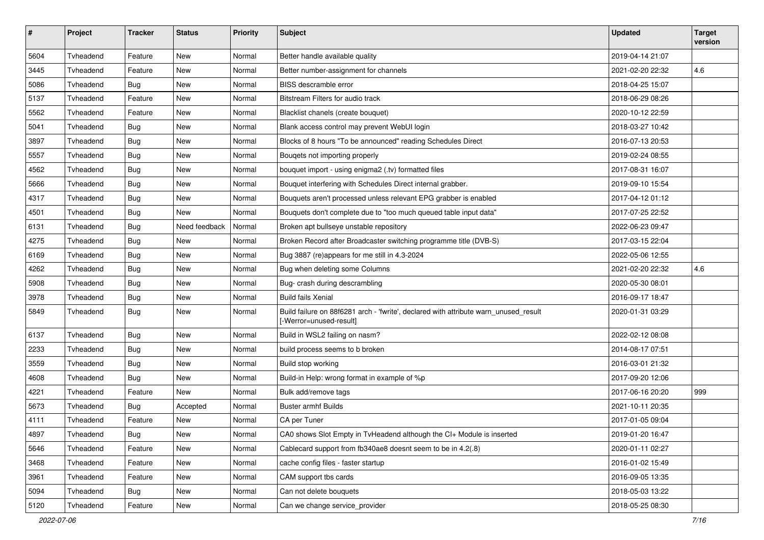| $\#$ | Project   | <b>Tracker</b> | <b>Status</b> | <b>Priority</b> | <b>Subject</b>                                                                                                  | <b>Updated</b>   | <b>Target</b><br>version |
|------|-----------|----------------|---------------|-----------------|-----------------------------------------------------------------------------------------------------------------|------------------|--------------------------|
| 5604 | Tvheadend | Feature        | <b>New</b>    | Normal          | Better handle available quality                                                                                 | 2019-04-14 21:07 |                          |
| 3445 | Tvheadend | Feature        | New           | Normal          | Better number-assignment for channels                                                                           | 2021-02-20 22:32 | 4.6                      |
| 5086 | Tvheadend | Bug            | <b>New</b>    | Normal          | BISS descramble error                                                                                           | 2018-04-25 15:07 |                          |
| 5137 | Tvheadend | Feature        | <b>New</b>    | Normal          | Bitstream Filters for audio track                                                                               | 2018-06-29 08:26 |                          |
| 5562 | Tvheadend | Feature        | New           | Normal          | Blacklist chanels (create bouquet)                                                                              | 2020-10-12 22:59 |                          |
| 5041 | Tvheadend | Bug            | <b>New</b>    | Normal          | Blank access control may prevent WebUI login                                                                    | 2018-03-27 10:42 |                          |
| 3897 | Tvheadend | Bug            | New           | Normal          | Blocks of 8 hours "To be announced" reading Schedules Direct                                                    | 2016-07-13 20:53 |                          |
| 5557 | Tvheadend | Bug            | New           | Normal          | Bouqets not importing properly                                                                                  | 2019-02-24 08:55 |                          |
| 4562 | Tvheadend | <b>Bug</b>     | New           | Normal          | bouquet import - using enigma2 (.tv) formatted files                                                            | 2017-08-31 16:07 |                          |
| 5666 | Tvheadend | Bug            | New           | Normal          | Bouquet interfering with Schedules Direct internal grabber.                                                     | 2019-09-10 15:54 |                          |
| 4317 | Tvheadend | Bug            | New           | Normal          | Bouquets aren't processed unless relevant EPG grabber is enabled                                                | 2017-04-12 01:12 |                          |
| 4501 | Tvheadend | Bug            | New           | Normal          | Bouquets don't complete due to "too much queued table input data"                                               | 2017-07-25 22:52 |                          |
| 6131 | Tvheadend | <b>Bug</b>     | Need feedback | Normal          | Broken apt bullseye unstable repository                                                                         | 2022-06-23 09:47 |                          |
| 4275 | Tvheadend | Bug            | <b>New</b>    | Normal          | Broken Record after Broadcaster switching programme title (DVB-S)                                               | 2017-03-15 22:04 |                          |
| 6169 | Tvheadend | Bug            | New           | Normal          | Bug 3887 (re)appears for me still in 4.3-2024                                                                   | 2022-05-06 12:55 |                          |
| 4262 | Tvheadend | Bug            | New           | Normal          | Bug when deleting some Columns                                                                                  | 2021-02-20 22:32 | 4.6                      |
| 5908 | Tyheadend | Bug            | New           | Normal          | Bug- crash during descrambling                                                                                  | 2020-05-30 08:01 |                          |
| 3978 | Tvheadend | <b>Bug</b>     | New           | Normal          | <b>Build fails Xenial</b>                                                                                       | 2016-09-17 18:47 |                          |
| 5849 | Tvheadend | Bug            | <b>New</b>    | Normal          | Build failure on 88f6281 arch - 'fwrite', declared with attribute warn_unused_result<br>[-Werror=unused-result] | 2020-01-31 03:29 |                          |
| 6137 | Tvheadend | Bug            | <b>New</b>    | Normal          | Build in WSL2 failing on nasm?                                                                                  | 2022-02-12 08:08 |                          |
| 2233 | Tvheadend | <b>Bug</b>     | New           | Normal          | build process seems to b broken                                                                                 | 2014-08-17 07:51 |                          |
| 3559 | Tvheadend | Bug            | New           | Normal          | Build stop working                                                                                              | 2016-03-01 21:32 |                          |
| 4608 | Tvheadend | Bug            | <b>New</b>    | Normal          | Build-in Help: wrong format in example of %p                                                                    | 2017-09-20 12:06 |                          |
| 4221 | Tvheadend | Feature        | New           | Normal          | Bulk add/remove tags                                                                                            | 2017-06-16 20:20 | 999                      |
| 5673 | Tvheadend | Bug            | Accepted      | Normal          | <b>Buster armhf Builds</b>                                                                                      | 2021-10-11 20:35 |                          |
| 4111 | Tvheadend | Feature        | <b>New</b>    | Normal          | CA per Tuner                                                                                                    | 2017-01-05 09:04 |                          |
| 4897 | Tvheadend | <b>Bug</b>     | New           | Normal          | CA0 shows Slot Empty in TvHeadend although the CI+ Module is inserted                                           | 2019-01-20 16:47 |                          |
| 5646 | Tvheadend | Feature        | New           | Normal          | Cablecard support from fb340ae8 doesnt seem to be in 4.2(.8)                                                    | 2020-01-11 02:27 |                          |
| 3468 | Tvheadend | Feature        | New           | Normal          | cache config files - faster startup                                                                             | 2016-01-02 15:49 |                          |
| 3961 | Tvheadend | Feature        | New           | Normal          | CAM support tbs cards                                                                                           | 2016-09-05 13:35 |                          |
| 5094 | Tvheadend | Bug            | New           | Normal          | Can not delete bouquets                                                                                         | 2018-05-03 13:22 |                          |
| 5120 | Tvheadend | Feature        | New           | Normal          | Can we change service_provider                                                                                  | 2018-05-25 08:30 |                          |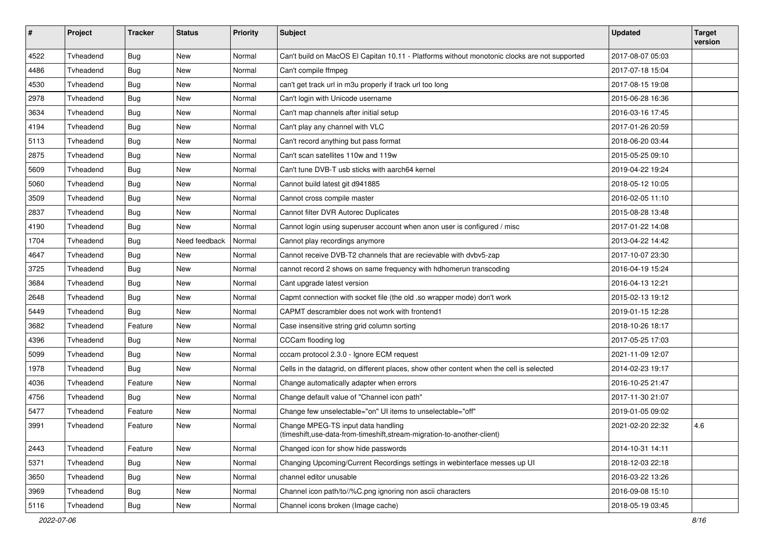| $\sharp$ | Project   | <b>Tracker</b> | <b>Status</b> | <b>Priority</b> | <b>Subject</b>                                                                                                 | <b>Updated</b>   | <b>Target</b><br>version |
|----------|-----------|----------------|---------------|-----------------|----------------------------------------------------------------------------------------------------------------|------------------|--------------------------|
| 4522     | Tvheadend | Bug            | <b>New</b>    | Normal          | Can't build on MacOS El Capitan 10.11 - Platforms without monotonic clocks are not supported                   | 2017-08-07 05:03 |                          |
| 4486     | Tvheadend | <b>Bug</b>     | New           | Normal          | Can't compile ffmpeg                                                                                           | 2017-07-18 15:04 |                          |
| 4530     | Tvheadend | <b>Bug</b>     | New           | Normal          | can't get track url in m3u properly if track url too long                                                      | 2017-08-15 19:08 |                          |
| 2978     | Tvheadend | Bug            | <b>New</b>    | Normal          | Can't login with Unicode username                                                                              | 2015-06-28 16:36 |                          |
| 3634     | Tvheadend | Bug            | New           | Normal          | Can't map channels after initial setup                                                                         | 2016-03-16 17:45 |                          |
| 4194     | Tvheadend | Bug            | <b>New</b>    | Normal          | Can't play any channel with VLC                                                                                | 2017-01-26 20:59 |                          |
| 5113     | Tvheadend | <b>Bug</b>     | New           | Normal          | Can't record anything but pass format                                                                          | 2018-06-20 03:44 |                          |
| 2875     | Tvheadend | <b>Bug</b>     | New           | Normal          | Can't scan satellites 110w and 119w                                                                            | 2015-05-25 09:10 |                          |
| 5609     | Tvheadend | Bug            | <b>New</b>    | Normal          | Can't tune DVB-T usb sticks with aarch64 kernel                                                                | 2019-04-22 19:24 |                          |
| 5060     | Tvheadend | <b>Bug</b>     | New           | Normal          | Cannot build latest git d941885                                                                                | 2018-05-12 10:05 |                          |
| 3509     | Tvheadend | Bug            | New           | Normal          | Cannot cross compile master                                                                                    | 2016-02-05 11:10 |                          |
| 2837     | Tvheadend | Bug            | New           | Normal          | Cannot filter DVR Autorec Duplicates                                                                           | 2015-08-28 13:48 |                          |
| 4190     | Tvheadend | <b>Bug</b>     | New           | Normal          | Cannot login using superuser account when anon user is configured / misc                                       | 2017-01-22 14:08 |                          |
| 1704     | Tvheadend | Bug            | Need feedback | Normal          | Cannot play recordings anymore                                                                                 | 2013-04-22 14:42 |                          |
| 4647     | Tvheadend | <b>Bug</b>     | <b>New</b>    | Normal          | Cannot receive DVB-T2 channels that are recievable with dvbv5-zap                                              | 2017-10-07 23:30 |                          |
| 3725     | Tvheadend | Bug            | New           | Normal          | cannot record 2 shows on same frequency with hdhomerun transcoding                                             | 2016-04-19 15:24 |                          |
| 3684     | Tvheadend | Bug            | New           | Normal          | Cant upgrade latest version                                                                                    | 2016-04-13 12:21 |                          |
| 2648     | Tvheadend | <b>Bug</b>     | New           | Normal          | Capmt connection with socket file (the old .so wrapper mode) don't work                                        | 2015-02-13 19:12 |                          |
| 5449     | Tvheadend | Bug            | <b>New</b>    | Normal          | CAPMT descrambler does not work with frontend1                                                                 | 2019-01-15 12:28 |                          |
| 3682     | Tvheadend | Feature        | New           | Normal          | Case insensitive string grid column sorting                                                                    | 2018-10-26 18:17 |                          |
| 4396     | Tvheadend | <b>Bug</b>     | New           | Normal          | CCCam flooding log                                                                                             | 2017-05-25 17:03 |                          |
| 5099     | Tvheadend | Bug            | <b>New</b>    | Normal          | cccam protocol 2.3.0 - Ignore ECM request                                                                      | 2021-11-09 12:07 |                          |
| 1978     | Tvheadend | <b>Bug</b>     | New           | Normal          | Cells in the datagrid, on different places, show other content when the cell is selected                       | 2014-02-23 19:17 |                          |
| 4036     | Tvheadend | Feature        | New           | Normal          | Change automatically adapter when errors                                                                       | 2016-10-25 21:47 |                          |
| 4756     | Tvheadend | <b>Bug</b>     | New           | Normal          | Change default value of "Channel icon path"                                                                    | 2017-11-30 21:07 |                          |
| 5477     | Tvheadend | Feature        | New           | Normal          | Change few unselectable="on" UI items to unselectable="off"                                                    | 2019-01-05 09:02 |                          |
| 3991     | Tvheadend | Feature        | New           | Normal          | Change MPEG-TS input data handling<br>(timeshift, use-data-from-timeshift, stream-migration-to-another-client) | 2021-02-20 22:32 | 4.6                      |
| 2443     | Tvheadend | Feature        | <b>New</b>    | Normal          | Changed icon for show hide passwords                                                                           | 2014-10-31 14:11 |                          |
| 5371     | Tvheadend | <b>Bug</b>     | New           | Normal          | Changing Upcoming/Current Recordings settings in webinterface messes up UI                                     | 2018-12-03 22:18 |                          |
| 3650     | Tvheadend | Bug            | New           | Normal          | channel editor unusable                                                                                        | 2016-03-22 13:26 |                          |
| 3969     | Tvheadend | Bug            | New           | Normal          | Channel icon path/to//%C.png ignoring non ascii characters                                                     | 2016-09-08 15:10 |                          |
| 5116     | Tvheadend | <b>Bug</b>     | New           | Normal          | Channel icons broken (Image cache)                                                                             | 2018-05-19 03:45 |                          |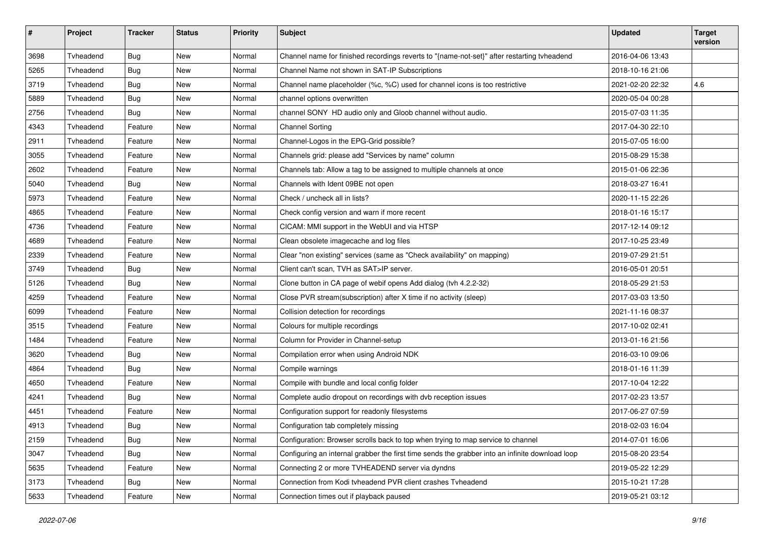| $\pmb{\#}$ | Project   | <b>Tracker</b> | <b>Status</b> | <b>Priority</b> | <b>Subject</b>                                                                                  | <b>Updated</b>   | <b>Target</b><br>version |
|------------|-----------|----------------|---------------|-----------------|-------------------------------------------------------------------------------------------------|------------------|--------------------------|
| 3698       | Tvheadend | Bug            | <b>New</b>    | Normal          | Channel name for finished recordings reverts to "{name-not-set}" after restarting tvheadend     | 2016-04-06 13:43 |                          |
| 5265       | Tvheadend | <b>Bug</b>     | New           | Normal          | Channel Name not shown in SAT-IP Subscriptions                                                  | 2018-10-16 21:06 |                          |
| 3719       | Tvheadend | Bug            | <b>New</b>    | Normal          | Channel name placeholder (%c, %C) used for channel icons is too restrictive                     | 2021-02-20 22:32 | 4.6                      |
| 5889       | Tvheadend | <b>Bug</b>     | <b>New</b>    | Normal          | channel options overwritten                                                                     | 2020-05-04 00:28 |                          |
| 2756       | Tvheadend | <b>Bug</b>     | New           | Normal          | channel SONY HD audio only and Gloob channel without audio.                                     | 2015-07-03 11:35 |                          |
| 4343       | Tvheadend | Feature        | New           | Normal          | <b>Channel Sorting</b>                                                                          | 2017-04-30 22:10 |                          |
| 2911       | Tvheadend | Feature        | New           | Normal          | Channel-Logos in the EPG-Grid possible?                                                         | 2015-07-05 16:00 |                          |
| 3055       | Tvheadend | Feature        | New           | Normal          | Channels grid: please add "Services by name" column                                             | 2015-08-29 15:38 |                          |
| 2602       | Tyheadend | Feature        | <b>New</b>    | Normal          | Channels tab: Allow a tag to be assigned to multiple channels at once                           | 2015-01-06 22:36 |                          |
| 5040       | Tvheadend | <b>Bug</b>     | New           | Normal          | Channels with Ident 09BE not open                                                               | 2018-03-27 16:41 |                          |
| 5973       | Tvheadend | Feature        | New           | Normal          | Check / uncheck all in lists?                                                                   | 2020-11-15 22:26 |                          |
| 4865       | Tvheadend | Feature        | New           | Normal          | Check config version and warn if more recent                                                    | 2018-01-16 15:17 |                          |
| 4736       | Tvheadend | Feature        | New           | Normal          | CICAM: MMI support in the WebUI and via HTSP                                                    | 2017-12-14 09:12 |                          |
| 4689       | Tvheadend | Feature        | New           | Normal          | Clean obsolete imagecache and log files                                                         | 2017-10-25 23:49 |                          |
| 2339       | Tvheadend | Feature        | New           | Normal          | Clear "non existing" services (same as "Check availability" on mapping)                         | 2019-07-29 21:51 |                          |
| 3749       | Tvheadend | Bug            | <b>New</b>    | Normal          | Client can't scan, TVH as SAT>IP server.                                                        | 2016-05-01 20:51 |                          |
| 5126       | Tvheadend | Bug            | New           | Normal          | Clone button in CA page of webif opens Add dialog (tvh 4.2.2-32)                                | 2018-05-29 21:53 |                          |
| 4259       | Tvheadend | Feature        | New           | Normal          | Close PVR stream(subscription) after X time if no activity (sleep)                              | 2017-03-03 13:50 |                          |
| 6099       | Tvheadend | Feature        | New           | Normal          | Collision detection for recordings                                                              | 2021-11-16 08:37 |                          |
| 3515       | Tvheadend | Feature        | New           | Normal          | Colours for multiple recordings                                                                 | 2017-10-02 02:41 |                          |
| 1484       | Tvheadend | Feature        | New           | Normal          | Column for Provider in Channel-setup                                                            | 2013-01-16 21:56 |                          |
| 3620       | Tvheadend | <b>Bug</b>     | New           | Normal          | Compilation error when using Android NDK                                                        | 2016-03-10 09:06 |                          |
| 4864       | Tvheadend | <b>Bug</b>     | New           | Normal          | Compile warnings                                                                                | 2018-01-16 11:39 |                          |
| 4650       | Tvheadend | Feature        | New           | Normal          | Compile with bundle and local config folder                                                     | 2017-10-04 12:22 |                          |
| 4241       | Tvheadend | <b>Bug</b>     | New           | Normal          | Complete audio dropout on recordings with dvb reception issues                                  | 2017-02-23 13:57 |                          |
| 4451       | Tvheadend | Feature        | New           | Normal          | Configuration support for readonly filesystems                                                  | 2017-06-27 07:59 |                          |
| 4913       | Tvheadend | <b>Bug</b>     | <b>New</b>    | Normal          | Configuration tab completely missing                                                            | 2018-02-03 16:04 |                          |
| 2159       | Tvheadend | <b>Bug</b>     | New           | Normal          | Configuration: Browser scrolls back to top when trying to map service to channel                | 2014-07-01 16:06 |                          |
| 3047       | Tvheadend | Bug            | New           | Normal          | Configuring an internal grabber the first time sends the grabber into an infinite download loop | 2015-08-20 23:54 |                          |
| 5635       | Tvheadend | Feature        | New           | Normal          | Connecting 2 or more TVHEADEND server via dyndns                                                | 2019-05-22 12:29 |                          |
| 3173       | Tvheadend | <b>Bug</b>     | New           | Normal          | Connection from Kodi tvheadend PVR client crashes Tvheadend                                     | 2015-10-21 17:28 |                          |
| 5633       | Tvheadend | Feature        | New           | Normal          | Connection times out if playback paused                                                         | 2019-05-21 03:12 |                          |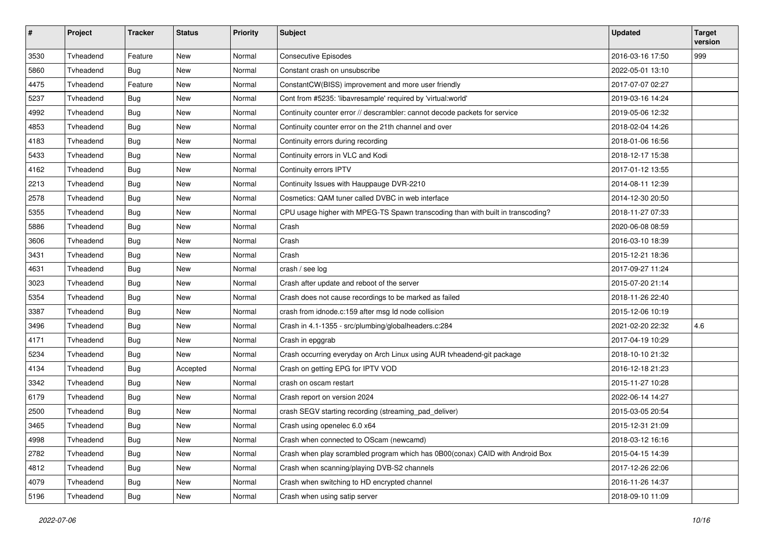| $\pmb{\#}$ | Project   | <b>Tracker</b> | <b>Status</b> | <b>Priority</b> | <b>Subject</b>                                                                  | <b>Updated</b>   | <b>Target</b><br>version |
|------------|-----------|----------------|---------------|-----------------|---------------------------------------------------------------------------------|------------------|--------------------------|
| 3530       | Tvheadend | Feature        | New           | Normal          | <b>Consecutive Episodes</b>                                                     | 2016-03-16 17:50 | 999                      |
| 5860       | Tvheadend | Bug            | New           | Normal          | Constant crash on unsubscribe                                                   | 2022-05-01 13:10 |                          |
| 4475       | Tyheadend | Feature        | <b>New</b>    | Normal          | ConstantCW(BISS) improvement and more user friendly                             | 2017-07-07 02:27 |                          |
| 5237       | Tvheadend | <b>Bug</b>     | New           | Normal          | Cont from #5235: 'libavresample' required by 'virtual:world'                    | 2019-03-16 14:24 |                          |
| 4992       | Tvheadend | <b>Bug</b>     | <b>New</b>    | Normal          | Continuity counter error // descrambler: cannot decode packets for service      | 2019-05-06 12:32 |                          |
| 4853       | Tvheadend | Bug            | New           | Normal          | Continuity counter error on the 21th channel and over                           | 2018-02-04 14:26 |                          |
| 4183       | Tvheadend | <b>Bug</b>     | New           | Normal          | Continuity errors during recording                                              | 2018-01-06 16:56 |                          |
| 5433       | Tvheadend | Bug            | <b>New</b>    | Normal          | Continuity errors in VLC and Kodi                                               | 2018-12-17 15:38 |                          |
| 4162       | Tvheadend | <b>Bug</b>     | New           | Normal          | Continuity errors IPTV                                                          | 2017-01-12 13:55 |                          |
| 2213       | Tvheadend | <b>Bug</b>     | <b>New</b>    | Normal          | Continuity Issues with Hauppauge DVR-2210                                       | 2014-08-11 12:39 |                          |
| 2578       | Tvheadend | Bug            | <b>New</b>    | Normal          | Cosmetics: QAM tuner called DVBC in web interface                               | 2014-12-30 20:50 |                          |
| 5355       | Tvheadend | <b>Bug</b>     | New           | Normal          | CPU usage higher with MPEG-TS Spawn transcoding than with built in transcoding? | 2018-11-27 07:33 |                          |
| 5886       | Tvheadend | <b>Bug</b>     | New           | Normal          | Crash                                                                           | 2020-06-08 08:59 |                          |
| 3606       | Tvheadend | Bug            | <b>New</b>    | Normal          | Crash                                                                           | 2016-03-10 18:39 |                          |
| 3431       | Tvheadend | Bug            | New           | Normal          | Crash                                                                           | 2015-12-21 18:36 |                          |
| 4631       | Tvheadend | Bug            | <b>New</b>    | Normal          | crash / see log                                                                 | 2017-09-27 11:24 |                          |
| 3023       | Tvheadend | <b>Bug</b>     | New           | Normal          | Crash after update and reboot of the server                                     | 2015-07-20 21:14 |                          |
| 5354       | Tvheadend | <b>Bug</b>     | <b>New</b>    | Normal          | Crash does not cause recordings to be marked as failed                          | 2018-11-26 22:40 |                          |
| 3387       | Tyheadend | Bug            | New           | Normal          | crash from idnode.c:159 after msg Id node collision                             | 2015-12-06 10:19 |                          |
| 3496       | Tvheadend | <b>Bug</b>     | New           | Normal          | Crash in 4.1-1355 - src/plumbing/globalheaders.c:284                            | 2021-02-20 22:32 | 4.6                      |
| 4171       | Tvheadend | Bug            | <b>New</b>    | Normal          | Crash in epggrab                                                                | 2017-04-19 10:29 |                          |
| 5234       | Tvheadend | <b>Bug</b>     | New           | Normal          | Crash occurring everyday on Arch Linux using AUR tvheadend-git package          | 2018-10-10 21:32 |                          |
| 4134       | Tvheadend | <b>Bug</b>     | Accepted      | Normal          | Crash on getting EPG for IPTV VOD                                               | 2016-12-18 21:23 |                          |
| 3342       | Tvheadend | Bug            | New           | Normal          | crash on oscam restart                                                          | 2015-11-27 10:28 |                          |
| 6179       | Tvheadend | <b>Bug</b>     | <b>New</b>    | Normal          | Crash report on version 2024                                                    | 2022-06-14 14:27 |                          |
| 2500       | Tvheadend | <b>Bug</b>     | New           | Normal          | crash SEGV starting recording (streaming_pad_deliver)                           | 2015-03-05 20:54 |                          |
| 3465       | Tvheadend | <b>Bug</b>     | New           | Normal          | Crash using openelec 6.0 x64                                                    | 2015-12-31 21:09 |                          |
| 4998       | Tvheadend | Bug            | New           | Normal          | Crash when connected to OScam (newcamd)                                         | 2018-03-12 16:16 |                          |
| 2782       | Tvheadend | Bug            | New           | Normal          | Crash when play scrambled program which has 0B00(conax) CAID with Android Box   | 2015-04-15 14:39 |                          |
| 4812       | Tvheadend | Bug            | New           | Normal          | Crash when scanning/playing DVB-S2 channels                                     | 2017-12-26 22:06 |                          |
| 4079       | Tvheadend | <b>Bug</b>     | New           | Normal          | Crash when switching to HD encrypted channel                                    | 2016-11-26 14:37 |                          |
| 5196       | Tvheadend | <b>Bug</b>     | New           | Normal          | Crash when using satip server                                                   | 2018-09-10 11:09 |                          |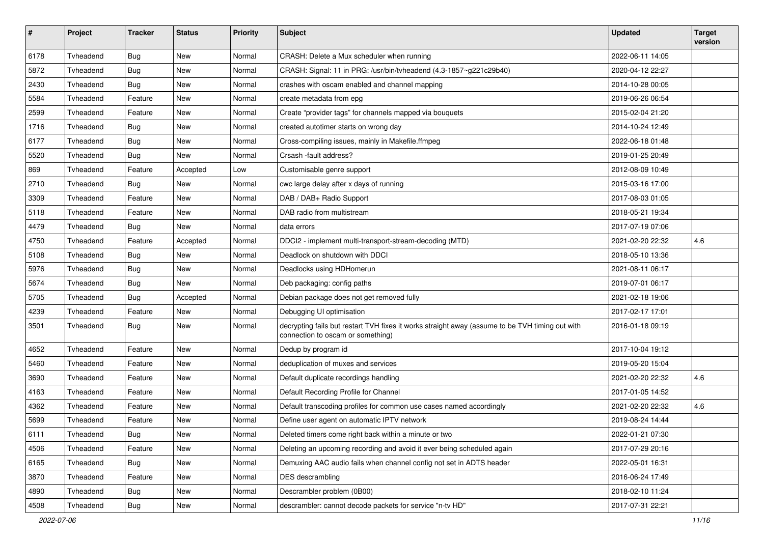| #    | Project   | <b>Tracker</b> | <b>Status</b> | <b>Priority</b> | <b>Subject</b>                                                                                                                       | <b>Updated</b>   | <b>Target</b><br>version |
|------|-----------|----------------|---------------|-----------------|--------------------------------------------------------------------------------------------------------------------------------------|------------------|--------------------------|
| 6178 | Tvheadend | Bug            | <b>New</b>    | Normal          | CRASH: Delete a Mux scheduler when running                                                                                           | 2022-06-11 14:05 |                          |
| 5872 | Tyheadend | Bug            | New           | Normal          | CRASH: Signal: 11 in PRG: /usr/bin/tvheadend (4.3-1857~g221c29b40)                                                                   | 2020-04-12 22:27 |                          |
| 2430 | Tvheadend | Bug            | New           | Normal          | crashes with oscam enabled and channel mapping                                                                                       | 2014-10-28 00:05 |                          |
| 5584 | Tvheadend | Feature        | New           | Normal          | create metadata from epg                                                                                                             | 2019-06-26 06:54 |                          |
| 2599 | Tvheadend | Feature        | New           | Normal          | Create "provider tags" for channels mapped via bouquets                                                                              | 2015-02-04 21:20 |                          |
| 1716 | Tvheadend | Bug            | <b>New</b>    | Normal          | created autotimer starts on wrong day                                                                                                | 2014-10-24 12:49 |                          |
| 6177 | Tvheadend | <b>Bug</b>     | New           | Normal          | Cross-compiling issues, mainly in Makefile.ffmpeg                                                                                    | 2022-06-18 01:48 |                          |
| 5520 | Tvheadend | <b>Bug</b>     | New           | Normal          | Crsash -fault address?                                                                                                               | 2019-01-25 20:49 |                          |
| 869  | Tvheadend | Feature        | Accepted      | Low             | Customisable genre support                                                                                                           | 2012-08-09 10:49 |                          |
| 2710 | Tvheadend | Bug            | New           | Normal          | cwc large delay after x days of running                                                                                              | 2015-03-16 17:00 |                          |
| 3309 | Tvheadend | Feature        | <b>New</b>    | Normal          | DAB / DAB+ Radio Support                                                                                                             | 2017-08-03 01:05 |                          |
| 5118 | Tyheadend | Feature        | New           | Normal          | DAB radio from multistream                                                                                                           | 2018-05-21 19:34 |                          |
| 4479 | Tvheadend | Bug            | New           | Normal          | data errors                                                                                                                          | 2017-07-19 07:06 |                          |
| 4750 | Tvheadend | Feature        | Accepted      | Normal          | DDCI2 - implement multi-transport-stream-decoding (MTD)                                                                              | 2021-02-20 22:32 | 4.6                      |
| 5108 | Tyheadend | Bug            | New           | Normal          | Deadlock on shutdown with DDCI                                                                                                       | 2018-05-10 13:36 |                          |
| 5976 | Tvheadend | Bug            | New           | Normal          | Deadlocks using HDHomerun                                                                                                            | 2021-08-11 06:17 |                          |
| 5674 | Tyheadend | <b>Bug</b>     | New           | Normal          | Deb packaging: config paths                                                                                                          | 2019-07-01 06:17 |                          |
| 5705 | Tvheadend | <b>Bug</b>     | Accepted      | Normal          | Debian package does not get removed fully                                                                                            | 2021-02-18 19:06 |                          |
| 4239 | Tvheadend | Feature        | <b>New</b>    | Normal          | Debugging UI optimisation                                                                                                            | 2017-02-17 17:01 |                          |
| 3501 | Tvheadend | Bug            | New           | Normal          | decrypting fails but restart TVH fixes it works straight away (assume to be TVH timing out with<br>connection to oscam or something) | 2016-01-18 09:19 |                          |
| 4652 | Tvheadend | Feature        | <b>New</b>    | Normal          | Dedup by program id                                                                                                                  | 2017-10-04 19:12 |                          |
| 5460 | Tvheadend | Feature        | New           | Normal          | deduplication of muxes and services                                                                                                  | 2019-05-20 15:04 |                          |
| 3690 | Tvheadend | Feature        | New           | Normal          | Default duplicate recordings handling                                                                                                | 2021-02-20 22:32 | 4.6                      |
| 4163 | Tvheadend | Feature        | New           | Normal          | Default Recording Profile for Channel                                                                                                | 2017-01-05 14:52 |                          |
| 4362 | Tvheadend | Feature        | New           | Normal          | Default transcoding profiles for common use cases named accordingly                                                                  | 2021-02-20 22:32 | 4.6                      |
| 5699 | Tvheadend | Feature        | New           | Normal          | Define user agent on automatic IPTV network                                                                                          | 2019-08-24 14:44 |                          |
| 6111 | Tvheadend | Bug            | New           | Normal          | Deleted timers come right back within a minute or two                                                                                | 2022-01-21 07:30 |                          |
| 4506 | Tvheadend | Feature        | New           | Normal          | Deleting an upcoming recording and avoid it ever being scheduled again                                                               | 2017-07-29 20:16 |                          |
| 6165 | Tvheadend | <b>Bug</b>     | New           | Normal          | Demuxing AAC audio fails when channel config not set in ADTS header                                                                  | 2022-05-01 16:31 |                          |
| 3870 | Tvheadend | Feature        | New           | Normal          | DES descrambling                                                                                                                     | 2016-06-24 17:49 |                          |
| 4890 | Tvheadend | <b>Bug</b>     | New           | Normal          | Descrambler problem (0B00)                                                                                                           | 2018-02-10 11:24 |                          |
| 4508 | Tvheadend | <b>Bug</b>     | New           | Normal          | descrambler: cannot decode packets for service "n-tv HD"                                                                             | 2017-07-31 22:21 |                          |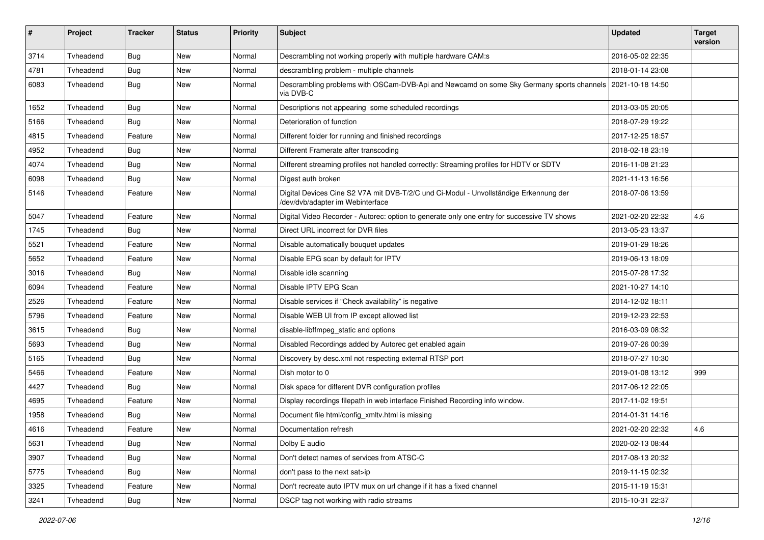| #    | Project   | <b>Tracker</b> | <b>Status</b> | <b>Priority</b> | <b>Subject</b>                                                                                                            | <b>Updated</b>   | <b>Target</b><br>version |
|------|-----------|----------------|---------------|-----------------|---------------------------------------------------------------------------------------------------------------------------|------------------|--------------------------|
| 3714 | Tvheadend | Bug            | <b>New</b>    | Normal          | Descrambling not working properly with multiple hardware CAM:s                                                            | 2016-05-02 22:35 |                          |
| 4781 | Tyheadend | <b>Bug</b>     | New           | Normal          | descrambling problem - multiple channels                                                                                  | 2018-01-14 23:08 |                          |
| 6083 | Tvheadend | <b>Bug</b>     | New           | Normal          | Descrambling problems with OSCam-DVB-Api and Newcamd on some Sky Germany sports channels   2021-10-18 14:50<br>via DVB-C  |                  |                          |
| 1652 | Tvheadend | <b>Bug</b>     | New           | Normal          | Descriptions not appearing some scheduled recordings                                                                      | 2013-03-05 20:05 |                          |
| 5166 | Tvheadend | <b>Bug</b>     | New           | Normal          | Deterioration of function                                                                                                 | 2018-07-29 19:22 |                          |
| 4815 | Tvheadend | Feature        | New           | Normal          | Different folder for running and finished recordings                                                                      | 2017-12-25 18:57 |                          |
| 4952 | Tvheadend | <b>Bug</b>     | New           | Normal          | Different Framerate after transcoding                                                                                     | 2018-02-18 23:19 |                          |
| 4074 | Tvheadend | Bug            | New           | Normal          | Different streaming profiles not handled correctly: Streaming profiles for HDTV or SDTV                                   | 2016-11-08 21:23 |                          |
| 6098 | Tyheadend | <b>Bug</b>     | New           | Normal          | Digest auth broken                                                                                                        | 2021-11-13 16:56 |                          |
| 5146 | Tvheadend | Feature        | New           | Normal          | Digital Devices Cine S2 V7A mit DVB-T/2/C und Ci-Modul - Unvollständige Erkennung der<br>/dev/dvb/adapter im Webinterface | 2018-07-06 13:59 |                          |
| 5047 | Tvheadend | Feature        | New           | Normal          | Digital Video Recorder - Autorec: option to generate only one entry for successive TV shows                               | 2021-02-20 22:32 | 4.6                      |
| 1745 | Tvheadend | <b>Bug</b>     | New           | Normal          | Direct URL incorrect for DVR files                                                                                        | 2013-05-23 13:37 |                          |
| 5521 | Tvheadend | Feature        | New           | Normal          | Disable automatically bouquet updates                                                                                     | 2019-01-29 18:26 |                          |
| 5652 | Tvheadend | Feature        | New           | Normal          | Disable EPG scan by default for IPTV                                                                                      | 2019-06-13 18:09 |                          |
| 3016 | Tvheadend | <b>Bug</b>     | New           | Normal          | Disable idle scanning                                                                                                     | 2015-07-28 17:32 |                          |
| 6094 | Tvheadend | Feature        | New           | Normal          | Disable IPTV EPG Scan                                                                                                     | 2021-10-27 14:10 |                          |
| 2526 | Tvheadend | Feature        | New           | Normal          | Disable services if "Check availability" is negative                                                                      | 2014-12-02 18:11 |                          |
| 5796 | Tvheadend | Feature        | New           | Normal          | Disable WEB UI from IP except allowed list                                                                                | 2019-12-23 22:53 |                          |
| 3615 | Tvheadend | <b>Bug</b>     | New           | Normal          | disable-libffmpeg_static and options                                                                                      | 2016-03-09 08:32 |                          |
| 5693 | Tvheadend | <b>Bug</b>     | New           | Normal          | Disabled Recordings added by Autorec get enabled again                                                                    | 2019-07-26 00:39 |                          |
| 5165 | Tvheadend | <b>Bug</b>     | New           | Normal          | Discovery by desc.xml not respecting external RTSP port                                                                   | 2018-07-27 10:30 |                          |
| 5466 | Tvheadend | Feature        | New           | Normal          | Dish motor to 0                                                                                                           | 2019-01-08 13:12 | 999                      |
| 4427 | Tvheadend | <b>Bug</b>     | New           | Normal          | Disk space for different DVR configuration profiles                                                                       | 2017-06-12 22:05 |                          |
| 4695 | Tvheadend | Feature        | New           | Normal          | Display recordings filepath in web interface Finished Recording info window.                                              | 2017-11-02 19:51 |                          |
| 1958 | Tvheadend | <b>Bug</b>     | New           | Normal          | Document file html/config_xmltv.html is missing                                                                           | 2014-01-31 14:16 |                          |
| 4616 | Tvheadend | Feature        | New           | Normal          | Documentation refresh                                                                                                     | 2021-02-20 22:32 | 4.6                      |
| 5631 | Tvheadend | <b>Bug</b>     | New           | Normal          | Dolby E audio                                                                                                             | 2020-02-13 08:44 |                          |
| 3907 | Tyheadend | Bug            | New           | Normal          | Don't detect names of services from ATSC-C                                                                                | 2017-08-13 20:32 |                          |
| 5775 | Tvheadend | Bug            | New           | Normal          | don't pass to the next sat>ip                                                                                             | 2019-11-15 02:32 |                          |
| 3325 | Tvheadend | Feature        | New           | Normal          | Don't recreate auto IPTV mux on url change if it has a fixed channel                                                      | 2015-11-19 15:31 |                          |
| 3241 | Tvheadend | Bug            | New           | Normal          | DSCP tag not working with radio streams                                                                                   | 2015-10-31 22:37 |                          |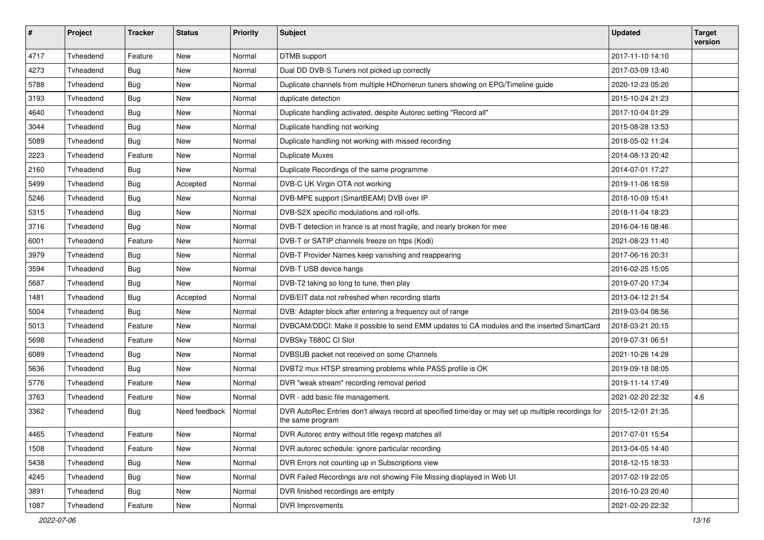| $\pmb{\#}$ | Project   | <b>Tracker</b> | <b>Status</b> | <b>Priority</b> | Subject                                                                                                                 | <b>Updated</b>   | <b>Target</b><br>version |
|------------|-----------|----------------|---------------|-----------------|-------------------------------------------------------------------------------------------------------------------------|------------------|--------------------------|
| 4717       | Tvheadend | Feature        | <b>New</b>    | Normal          | DTMB support                                                                                                            | 2017-11-10 14:10 |                          |
| 4273       | Tvheadend | <b>Bug</b>     | New           | Normal          | Dual DD DVB-S Tuners not picked up correctly                                                                            | 2017-03-09 13:40 |                          |
| 5788       | Tvheadend | Bug            | New           | Normal          | Duplicate channels from multiple HDhomerun tuners showing on EPG/Timeline guide                                         | 2020-12-23 05:20 |                          |
| 3193       | Tvheadend | Bug            | <b>New</b>    | Normal          | duplicate detection                                                                                                     | 2015-10-24 21:23 |                          |
| 4640       | Tvheadend | <b>Bug</b>     | New           | Normal          | Duplicate handling activated, despite Autorec setting "Record all"                                                      | 2017-10-04 01:29 |                          |
| 3044       | Tvheadend | <b>Bug</b>     | New           | Normal          | Duplicate handling not working                                                                                          | 2015-08-28 13:53 |                          |
| 5089       | Tvheadend | Bug            | New           | Normal          | Duplicate handling not working with missed recording                                                                    | 2018-05-02 11:24 |                          |
| 2223       | Tvheadend | Feature        | New           | Normal          | <b>Duplicate Muxes</b>                                                                                                  | 2014-08-13 20:42 |                          |
| 2160       | Tyheadend | <b>Bug</b>     | New           | Normal          | Duplicate Recordings of the same programme                                                                              | 2014-07-01 17:27 |                          |
| 5499       | Tvheadend | <b>Bug</b>     | Accepted      | Normal          | DVB-C UK Virgin OTA not working                                                                                         | 2019-11-06 18:59 |                          |
| 5246       | Tvheadend | <b>Bug</b>     | New           | Normal          | DVB-MPE support (SmartBEAM) DVB over IP                                                                                 | 2018-10-09 15:41 |                          |
| 5315       | Tvheadend | Bug            | New           | Normal          | DVB-S2X specific modulations and roll-offs.                                                                             | 2018-11-04 18:23 |                          |
| 3716       | Tvheadend | Bug            | New           | Normal          | DVB-T detection in france is at most fragile, and nearly broken for mee                                                 | 2016-04-16 08:46 |                          |
| 6001       | Tvheadend | Feature        | <b>New</b>    | Normal          | DVB-T or SATIP channels freeze on htps (Kodi)                                                                           | 2021-08-23 11:40 |                          |
| 3979       | Tvheadend | <b>Bug</b>     | New           | Normal          | DVB-T Provider Names keep vanishing and reappearing                                                                     | 2017-06-16 20:31 |                          |
| 3594       | Tvheadend | <b>Bug</b>     | New           | Normal          | DVB-T USB device hangs                                                                                                  | 2016-02-25 15:05 |                          |
| 5687       | Tvheadend | <b>Bug</b>     | New           | Normal          | DVB-T2 taking so long to tune, then play                                                                                | 2019-07-20 17:34 |                          |
| 1481       | Tvheadend | <b>Bug</b>     | Accepted      | Normal          | DVB/EIT data not refreshed when recording starts                                                                        | 2013-04-12 21:54 |                          |
| 5004       | Tvheadend | <b>Bug</b>     | <b>New</b>    | Normal          | DVB: Adapter block after entering a frequency out of range                                                              | 2019-03-04 08:56 |                          |
| 5013       | Tvheadend | Feature        | New           | Normal          | DVBCAM/DDCI: Make it possible to send EMM updates to CA modules and the inserted SmartCard                              | 2018-03-21 20:15 |                          |
| 5698       | Tvheadend | Feature        | New           | Normal          | DVBSky T680C CI Slot                                                                                                    | 2019-07-31 06:51 |                          |
| 6089       | Tvheadend | <b>Bug</b>     | <b>New</b>    | Normal          | DVBSUB packet not received on some Channels                                                                             | 2021-10-26 14:28 |                          |
| 5636       | Tvheadend | <b>Bug</b>     | New           | Normal          | DVBT2 mux HTSP streaming problems while PASS profile is OK                                                              | 2019-09-18 08:05 |                          |
| 5776       | Tvheadend | Feature        | New           | Normal          | DVR "weak stream" recording removal period                                                                              | 2019-11-14 17:49 |                          |
| 3763       | Tvheadend | Feature        | New           | Normal          | DVR - add basic file management.                                                                                        | 2021-02-20 22:32 | 4.6                      |
| 3362       | Tvheadend | Bug            | Need feedback | Normal          | DVR AutoRec Entries don't always record at specified time/day or may set up multiple recordings for<br>the same program | 2015-12-01 21:35 |                          |
| 4465       | Tvheadend | Feature        | New           | Normal          | DVR Autorec entry without title regexp matches all                                                                      | 2017-07-01 15:54 |                          |
| 1508       | Tvheadend | Feature        | New           | Normal          | DVR autorec schedule: ignore particular recording                                                                       | 2013-04-05 14:40 |                          |
| 5438       | Tvheadend | Bug            | New           | Normal          | DVR Errors not counting up in Subscriptions view                                                                        | 2018-12-15 18:33 |                          |
| 4245       | Tvheadend | Bug            | New           | Normal          | DVR Failed Recordings are not showing File Missing displayed in Web UI                                                  | 2017-02-19 22:05 |                          |
| 3891       | Tvheadend | Bug            | New           | Normal          | DVR finished recordings are emtpty                                                                                      | 2016-10-23 20:40 |                          |
| 1087       | Tvheadend | Feature        | New           | Normal          | DVR Improvements                                                                                                        | 2021-02-20 22:32 |                          |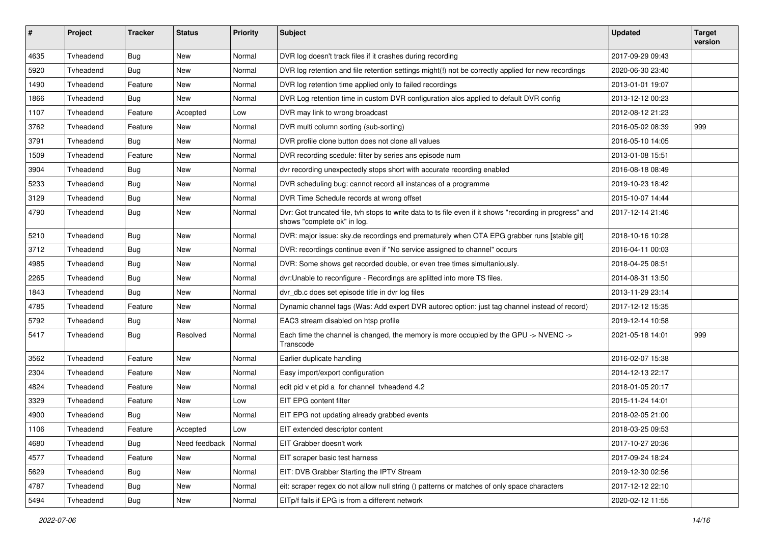| #    | Project   | Tracker    | <b>Status</b> | <b>Priority</b> | <b>Subject</b>                                                                                                                          | <b>Updated</b>   | <b>Target</b><br>version |
|------|-----------|------------|---------------|-----------------|-----------------------------------------------------------------------------------------------------------------------------------------|------------------|--------------------------|
| 4635 | Tvheadend | Bug        | <b>New</b>    | Normal          | DVR log doesn't track files if it crashes during recording                                                                              | 2017-09-29 09:43 |                          |
| 5920 | Tyheadend | <b>Bug</b> | New           | Normal          | DVR log retention and file retention settings might(!) not be correctly applied for new recordings                                      | 2020-06-30 23:40 |                          |
| 1490 | Tvheadend | Feature    | <b>New</b>    | Normal          | DVR log retention time applied only to failed recordings                                                                                | 2013-01-01 19:07 |                          |
| 1866 | Tvheadend | Bug        | New           | Normal          | DVR Log retention time in custom DVR configuration alos applied to default DVR config                                                   | 2013-12-12 00:23 |                          |
| 1107 | Tvheadend | Feature    | Accepted      | Low             | DVR may link to wrong broadcast                                                                                                         | 2012-08-12 21:23 |                          |
| 3762 | Tvheadend | Feature    | New           | Normal          | DVR multi column sorting (sub-sorting)                                                                                                  | 2016-05-02 08:39 | 999                      |
| 3791 | Tvheadend | Bug        | New           | Normal          | DVR profile clone button does not clone all values                                                                                      | 2016-05-10 14:05 |                          |
| 1509 | Tvheadend | Feature    | New           | Normal          | DVR recording scedule: filter by series ans episode num                                                                                 | 2013-01-08 15:51 |                          |
| 3904 | Tvheadend | Bug        | New           | Normal          | dvr recording unexpectedly stops short with accurate recording enabled                                                                  | 2016-08-18 08:49 |                          |
| 5233 | Tvheadend | Bug        | New           | Normal          | DVR scheduling bug: cannot record all instances of a programme                                                                          | 2019-10-23 18:42 |                          |
| 3129 | Tvheadend | <b>Bug</b> | <b>New</b>    | Normal          | DVR Time Schedule records at wrong offset                                                                                               | 2015-10-07 14:44 |                          |
| 4790 | Tvheadend | <b>Bug</b> | New           | Normal          | Dvr: Got truncated file, tvh stops to write data to ts file even if it shows "recording in progress" and<br>shows "complete ok" in log. | 2017-12-14 21:46 |                          |
| 5210 | Tvheadend | <b>Bug</b> | New           | Normal          | DVR: major issue: sky.de recordings end prematurely when OTA EPG grabber runs [stable git]                                              | 2018-10-16 10:28 |                          |
| 3712 | Tvheadend | Bug        | New           | Normal          | DVR: recordings continue even if "No service assigned to channel" occurs                                                                | 2016-04-11 00:03 |                          |
| 4985 | Tvheadend | Bug        | <b>New</b>    | Normal          | DVR: Some shows get recorded double, or even tree times simultaniously.                                                                 | 2018-04-25 08:51 |                          |
| 2265 | Tvheadend | <b>Bug</b> | New           | Normal          | dvr:Unable to reconfigure - Recordings are splitted into more TS files.                                                                 | 2014-08-31 13:50 |                          |
| 1843 | Tvheadend | <b>Bug</b> | New           | Normal          | dvr_db.c does set episode title in dvr log files                                                                                        | 2013-11-29 23:14 |                          |
| 4785 | Tvheadend | Feature    | New           | Normal          | Dynamic channel tags (Was: Add expert DVR autorec option: just tag channel instead of record)                                           | 2017-12-12 15:35 |                          |
| 5792 | Tvheadend | <b>Bug</b> | New           | Normal          | EAC3 stream disabled on htsp profile                                                                                                    | 2019-12-14 10:58 |                          |
| 5417 | Tvheadend | Bug        | Resolved      | Normal          | Each time the channel is changed, the memory is more occupied by the GPU -> NVENC -><br>Transcode                                       | 2021-05-18 14:01 | 999                      |
| 3562 | Tvheadend | Feature    | New           | Normal          | Earlier duplicate handling                                                                                                              | 2016-02-07 15:38 |                          |
| 2304 | Tvheadend | Feature    | New           | Normal          | Easy import/export configuration                                                                                                        | 2014-12-13 22:17 |                          |
| 4824 | Tvheadend | Feature    | New           | Normal          | edit pid v et pid a for channel tyheadend 4.2                                                                                           | 2018-01-05 20:17 |                          |
| 3329 | Tvheadend | Feature    | New           | Low             | EIT EPG content filter                                                                                                                  | 2015-11-24 14:01 |                          |
| 4900 | Tvheadend | Bug        | New           | Normal          | EIT EPG not updating already grabbed events                                                                                             | 2018-02-05 21:00 |                          |
| 1106 | Tvheadend | Feature    | Accepted      | Low             | EIT extended descriptor content                                                                                                         | 2018-03-25 09:53 |                          |
| 4680 | Tvheadend | <b>Bug</b> | Need feedback | Normal          | EIT Grabber doesn't work                                                                                                                | 2017-10-27 20:36 |                          |
| 4577 | Tvheadend | Feature    | New           | Normal          | EIT scraper basic test harness                                                                                                          | 2017-09-24 18:24 |                          |
| 5629 | Tvheadend | <b>Bug</b> | New           | Normal          | EIT: DVB Grabber Starting the IPTV Stream                                                                                               | 2019-12-30 02:56 |                          |
| 4787 | Tvheadend | Bug        | New           | Normal          | eit: scraper regex do not allow null string () patterns or matches of only space characters                                             | 2017-12-12 22:10 |                          |
| 5494 | Tvheadend | Bug        | New           | Normal          | EITp/f fails if EPG is from a different network                                                                                         | 2020-02-12 11:55 |                          |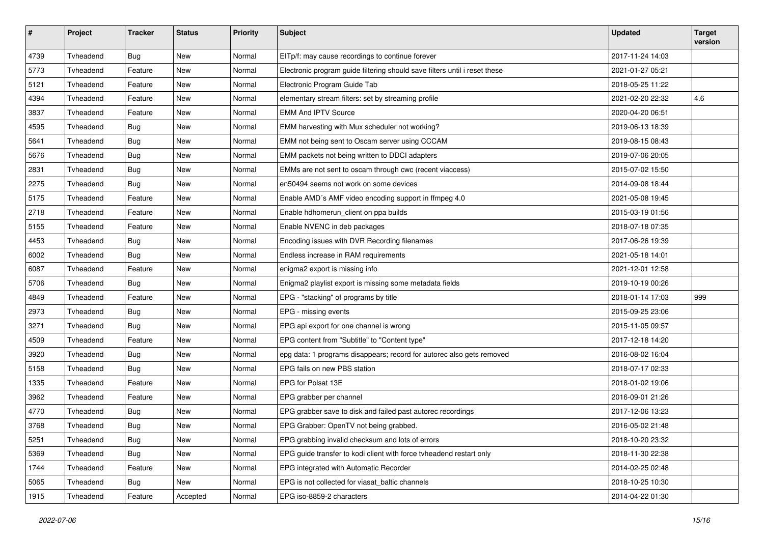| $\pmb{\#}$ | Project   | <b>Tracker</b> | <b>Status</b> | <b>Priority</b> | <b>Subject</b>                                                             | <b>Updated</b>   | <b>Target</b><br>version |
|------------|-----------|----------------|---------------|-----------------|----------------------------------------------------------------------------|------------------|--------------------------|
| 4739       | Tvheadend | Bug            | <b>New</b>    | Normal          | EITp/f: may cause recordings to continue forever                           | 2017-11-24 14:03 |                          |
| 5773       | Tvheadend | Feature        | New           | Normal          | Electronic program guide filtering should save filters until i reset these | 2021-01-27 05:21 |                          |
| 5121       | Tvheadend | Feature        | New           | Normal          | Electronic Program Guide Tab                                               | 2018-05-25 11:22 |                          |
| 4394       | Tvheadend | Feature        | New           | Normal          | elementary stream filters: set by streaming profile                        | 2021-02-20 22:32 | 4.6                      |
| 3837       | Tvheadend | Feature        | <b>New</b>    | Normal          | <b>EMM And IPTV Source</b>                                                 | 2020-04-20 06:51 |                          |
| 4595       | Tvheadend | Bug            | <b>New</b>    | Normal          | EMM harvesting with Mux scheduler not working?                             | 2019-06-13 18:39 |                          |
| 5641       | Tvheadend | <b>Bug</b>     | New           | Normal          | EMM not being sent to Oscam server using CCCAM                             | 2019-08-15 08:43 |                          |
| 5676       | Tvheadend | Bug            | <b>New</b>    | Normal          | EMM packets not being written to DDCI adapters                             | 2019-07-06 20:05 |                          |
| 2831       | Tvheadend | <b>Bug</b>     | <b>New</b>    | Normal          | EMMs are not sent to oscam through cwc (recent viaccess)                   | 2015-07-02 15:50 |                          |
| 2275       | Tvheadend | <b>Bug</b>     | New           | Normal          | en50494 seems not work on some devices                                     | 2014-09-08 18:44 |                          |
| 5175       | Tvheadend | Feature        | New           | Normal          | Enable AMD's AMF video encoding support in ffmpeg 4.0                      | 2021-05-08 19:45 |                          |
| 2718       | Tvheadend | Feature        | New           | Normal          | Enable hdhomerun_client on ppa builds                                      | 2015-03-19 01:56 |                          |
| 5155       | Tvheadend | Feature        | New           | Normal          | Enable NVENC in deb packages                                               | 2018-07-18 07:35 |                          |
| 4453       | Tvheadend | Bug            | <b>New</b>    | Normal          | Encoding issues with DVR Recording filenames                               | 2017-06-26 19:39 |                          |
| 6002       | Tvheadend | <b>Bug</b>     | New           | Normal          | Endless increase in RAM requirements                                       | 2021-05-18 14:01 |                          |
| 6087       | Tyheadend | Feature        | New           | Normal          | enigma2 export is missing info                                             | 2021-12-01 12:58 |                          |
| 5706       | Tvheadend | Bug            | New           | Normal          | Enigma2 playlist export is missing some metadata fields                    | 2019-10-19 00:26 |                          |
| 4849       | Tvheadend | Feature        | New           | Normal          | EPG - "stacking" of programs by title                                      | 2018-01-14 17:03 | 999                      |
| 2973       | Tvheadend | Bug            | <b>New</b>    | Normal          | EPG - missing events                                                       | 2015-09-25 23:06 |                          |
| 3271       | Tvheadend | <b>Bug</b>     | New           | Normal          | EPG api export for one channel is wrong                                    | 2015-11-05 09:57 |                          |
| 4509       | Tvheadend | Feature        | <b>New</b>    | Normal          | EPG content from "Subtitle" to "Content type"                              | 2017-12-18 14:20 |                          |
| 3920       | Tvheadend | <b>Bug</b>     | New           | Normal          | epg data: 1 programs disappears; record for autorec also gets removed      | 2016-08-02 16:04 |                          |
| 5158       | Tvheadend | Bug            | New           | Normal          | EPG fails on new PBS station                                               | 2018-07-17 02:33 |                          |
| 1335       | Tvheadend | Feature        | New           | Normal          | EPG for Polsat 13E                                                         | 2018-01-02 19:06 |                          |
| 3962       | Tvheadend | Feature        | New           | Normal          | EPG grabber per channel                                                    | 2016-09-01 21:26 |                          |
| 4770       | Tvheadend | Bug            | <b>New</b>    | Normal          | EPG grabber save to disk and failed past autorec recordings                | 2017-12-06 13:23 |                          |
| 3768       | Tvheadend | <b>Bug</b>     | New           | Normal          | EPG Grabber: OpenTV not being grabbed.                                     | 2016-05-02 21:48 |                          |
| 5251       | Tvheadend | Bug            | New           | Normal          | EPG grabbing invalid checksum and lots of errors                           | 2018-10-20 23:32 |                          |
| 5369       | Tvheadend | <b>Bug</b>     | New           | Normal          | EPG guide transfer to kodi client with force tvheadend restart only        | 2018-11-30 22:38 |                          |
| 1744       | Tvheadend | Feature        | New           | Normal          | EPG integrated with Automatic Recorder                                     | 2014-02-25 02:48 |                          |
| 5065       | Tvheadend | <b>Bug</b>     | New           | Normal          | EPG is not collected for viasat baltic channels                            | 2018-10-25 10:30 |                          |
| 1915       | Tvheadend | Feature        | Accepted      | Normal          | EPG iso-8859-2 characters                                                  | 2014-04-22 01:30 |                          |